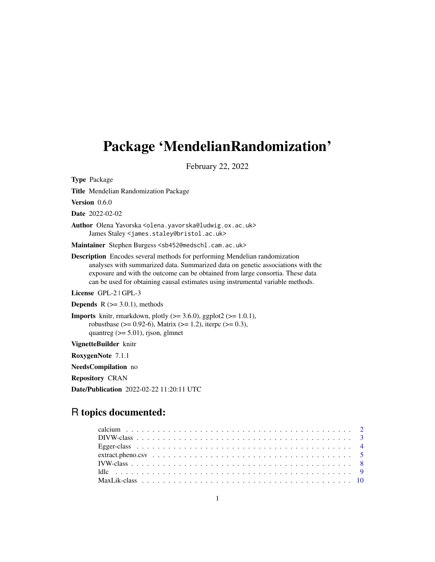# Package 'MendelianRandomization'

February 22, 2022

Type Package Title Mendelian Randomization Package Version 0.6.0 Date 2022-02-02 Author Olena Yavorska <olena.yavorska@ludwig.ox.ac.uk> James Staley <james.staley@bristol.ac.uk> Maintainer Stephen Burgess <sb452@medschl.cam.ac.uk> Description Encodes several methods for performing Mendelian randomization analyses with summarized data. Summarized data on genetic associations with the exposure and with the outcome can be obtained from large consortia. These data can be used for obtaining causal estimates using instrumental variable methods. License GPL-2 | GPL-3 **Depends**  $R$  ( $>= 3.0.1$ ), methods **Imports** knitr, rmarkdown, plotly  $(>= 3.6.0)$ , ggplot2  $(>= 1.0.1)$ , robustbase ( $> = 0.92-6$ ), Matrix ( $> = 1.2$ ), iterpc ( $> = 0.3$ ), quantreg  $(>= 5.01)$ , rjson, glmnet VignetteBuilder knitr RoxygenNote 7.1.1 NeedsCompilation no Repository CRAN

Date/Publication 2022-02-22 11:20:11 UTC

# R topics documented: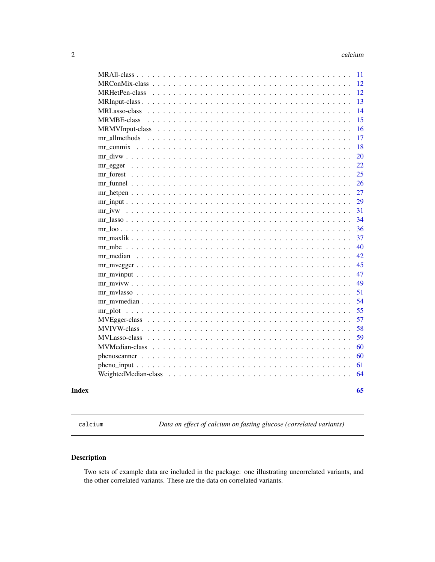<span id="page-1-0"></span>

| <b>MRMBE-class</b> |
|--------------------|
|                    |
|                    |
| MRHetPen-class     |
|                    |

calcium *Data on effect of calcium on fasting glucose (correlated variants)*

# Description

Two sets of example data are included in the package: one illustrating uncorrelated variants, and the other correlated variants. These are the data on correlated variants.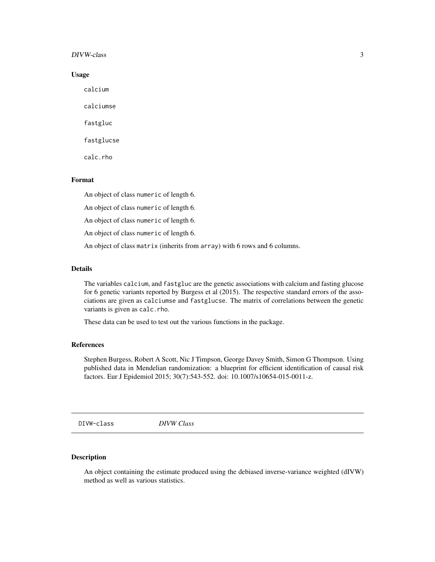## <span id="page-2-0"></span>DIVW-class 3

#### Usage

calcium

calciumse

fastgluc

fastglucse

calc.rho

# Format

An object of class numeric of length 6.

An object of class numeric of length 6.

An object of class numeric of length 6.

An object of class numeric of length 6.

An object of class matrix (inherits from array) with 6 rows and 6 columns.

# Details

The variables calcium, and fastgluc are the genetic associations with calcium and fasting glucose for 6 genetic variants reported by Burgess et al (2015). The respective standard errors of the associations are given as calciumse and fastglucse. The matrix of correlations between the genetic variants is given as calc.rho.

These data can be used to test out the various functions in the package.

#### References

Stephen Burgess, Robert A Scott, Nic J Timpson, George Davey Smith, Simon G Thompson. Using published data in Mendelian randomization: a blueprint for efficient identification of causal risk factors. Eur J Epidemiol 2015; 30(7):543-552. doi: 10.1007/s10654-015-0011-z.

DIVW-class *DIVW Class*

# Description

An object containing the estimate produced using the debiased inverse-variance weighted (dIVW) method as well as various statistics.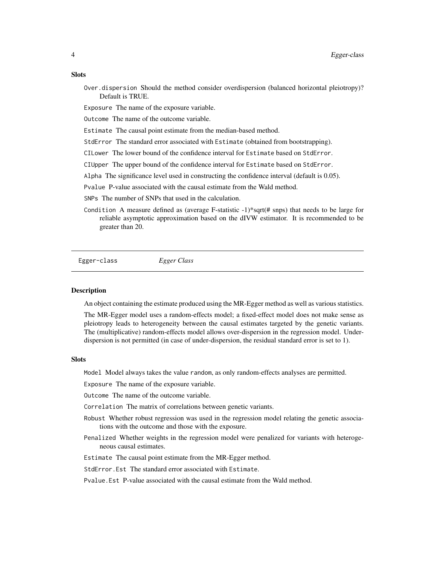#### <span id="page-3-0"></span>**Slots**

- Over.dispersion Should the method consider overdispersion (balanced horizontal pleiotropy)? Default is TRUE.
- Exposure The name of the exposure variable.

Outcome The name of the outcome variable.

Estimate The causal point estimate from the median-based method.

StdError The standard error associated with Estimate (obtained from bootstrapping).

CILower The lower bound of the confidence interval for Estimate based on StdError.

CIUpper The upper bound of the confidence interval for Estimate based on StdError.

Alpha The significance level used in constructing the confidence interval (default is 0.05).

Pvalue P-value associated with the causal estimate from the Wald method.

SNPs The number of SNPs that used in the calculation.

Condition A measure defined as (average F-statistic -1)\*sqrt(# snps) that needs to be large for reliable asymptotic approximation based on the dIVW estimator. It is recommended to be greater than 20.

Egger-class *Egger Class*

#### **Description**

An object containing the estimate produced using the MR-Egger method as well as various statistics.

The MR-Egger model uses a random-effects model; a fixed-effect model does not make sense as pleiotropy leads to heterogeneity between the causal estimates targeted by the genetic variants. The (multiplicative) random-effects model allows over-dispersion in the regression model. Underdispersion is not permitted (in case of under-dispersion, the residual standard error is set to 1).

#### Slots

Model Model always takes the value random, as only random-effects analyses are permitted.

Exposure The name of the exposure variable.

Outcome The name of the outcome variable.

- Correlation The matrix of correlations between genetic variants.
- Robust Whether robust regression was used in the regression model relating the genetic associations with the outcome and those with the exposure.
- Penalized Whether weights in the regression model were penalized for variants with heterogeneous causal estimates.
- Estimate The causal point estimate from the MR-Egger method.
- StdError.Est The standard error associated with Estimate.
- Pvalue.Est P-value associated with the causal estimate from the Wald method.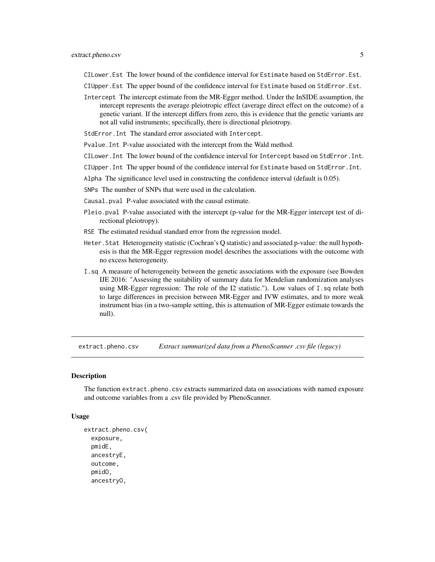- <span id="page-4-0"></span>CILower.Est The lower bound of the confidence interval for Estimate based on StdError.Est.
- CIUpper.Est The upper bound of the confidence interval for Estimate based on StdError.Est.
- Intercept The intercept estimate from the MR-Egger method. Under the InSIDE assumption, the intercept represents the average pleiotropic effect (average direct effect on the outcome) of a genetic variant. If the intercept differs from zero, this is evidence that the genetic variants are not all valid instruments; specifically, there is directional pleiotropy.
- StdError.Int The standard error associated with Intercept.
- Pvalue.Int P-value associated with the intercept from the Wald method.
- CILower.Int The lower bound of the confidence interval for Intercept based on StdError.Int.
- CIUpper.Int The upper bound of the confidence interval for Estimate based on StdError.Int.
- Alpha The significance level used in constructing the confidence interval (default is 0.05).
- SNPs The number of SNPs that were used in the calculation.
- Causal.pval P-value associated with the causal estimate.
- Pleio.pval P-value associated with the intercept (p-value for the MR-Egger intercept test of directional pleiotropy).
- RSE The estimated residual standard error from the regression model.
- Heter.Stat Heterogeneity statistic (Cochran's Q statistic) and associated p-value: the null hypothesis is that the MR-Egger regression model describes the associations with the outcome with no excess heterogeneity.
- I.sq A measure of heterogeneity between the genetic associations with the exposure (see Bowden IJE 2016: "Assessing the suitability of summary data for Mendelian randomization analyses using MR-Egger regression: The role of the I2 statistic."). Low values of I.sq relate both to large differences in precision between MR-Egger and IVW estimates, and to more weak instrument bias (in a two-sample setting, this is attenuation of MR-Egger estimate towards the null).

extract.pheno.csv *Extract summarized data from a PhenoScanner .csv file (legacy)*

#### **Description**

The function extract.pheno.csv extracts summarized data on associations with named exposure and outcome variables from a .csv file provided by PhenoScanner.

#### Usage

```
extract.pheno.csv(
  exposure,
  pmidE,
  ancestryE,
  outcome,
  pmidO,
  ancestryO,
```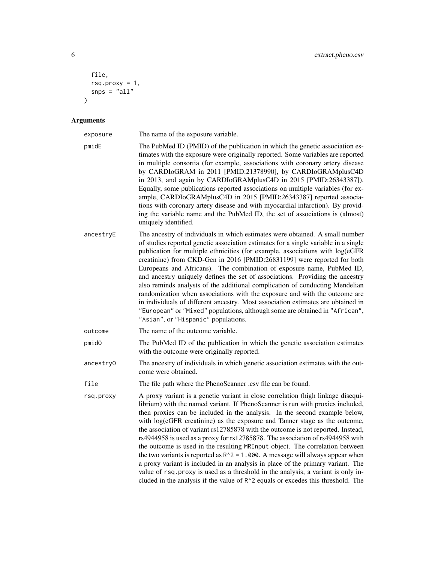```
file,
 rsq.proxy = 1,
  \text{snps} = \text{"all"})
```

| exposure  | The name of the exposure variable.                                                                                                                                                                                                                                                                                                                                                                                                                                                                                                                                                                                                                                                                                                                                                                                                                                                                                                    |
|-----------|---------------------------------------------------------------------------------------------------------------------------------------------------------------------------------------------------------------------------------------------------------------------------------------------------------------------------------------------------------------------------------------------------------------------------------------------------------------------------------------------------------------------------------------------------------------------------------------------------------------------------------------------------------------------------------------------------------------------------------------------------------------------------------------------------------------------------------------------------------------------------------------------------------------------------------------|
| pmidE     | The PubMed ID (PMID) of the publication in which the genetic association es-<br>timates with the exposure were originally reported. Some variables are reported<br>in multiple consortia (for example, associations with coronary artery disease<br>by CARDIoGRAM in 2011 [PMID:21378990], by CARDIoGRAMplusC4D<br>in 2013, and again by CARDIoGRAMplusC4D in 2015 [PMID:26343387]).<br>Equally, some publications reported associations on multiple variables (for ex-<br>ample, CARDIoGRAMplusC4D in 2015 [PMID:26343387] reported associa-<br>tions with coronary artery disease and with myocardial infarction). By provid-<br>ing the variable name and the PubMed ID, the set of associations is (almost)<br>uniquely identified.                                                                                                                                                                                               |
| ancestryE | The ancestry of individuals in which estimates were obtained. A small number<br>of studies reported genetic association estimates for a single variable in a single<br>publication for multiple ethnicities (for example, associations with log(eGFR<br>creatinine) from CKD-Gen in 2016 [PMID:26831199] were reported for both<br>Europeans and Africans). The combination of exposure name, PubMed ID,<br>and ancestry uniquely defines the set of associations. Providing the ancestry<br>also reminds analysts of the additional complication of conducting Mendelian<br>randomization when associations with the exposure and with the outcome are<br>in individuals of different ancestry. Most association estimates are obtained in<br>"European" or "Mixed" populations, although some are obtained in "African",<br>"Asian", or "Hispanic" populations.                                                                     |
| outcome   | The name of the outcome variable.                                                                                                                                                                                                                                                                                                                                                                                                                                                                                                                                                                                                                                                                                                                                                                                                                                                                                                     |
| pmid0     | The PubMed ID of the publication in which the genetic association estimates<br>with the outcome were originally reported.                                                                                                                                                                                                                                                                                                                                                                                                                                                                                                                                                                                                                                                                                                                                                                                                             |
| ancestry0 | The ancestry of individuals in which genetic association estimates with the out-<br>come were obtained.                                                                                                                                                                                                                                                                                                                                                                                                                                                                                                                                                                                                                                                                                                                                                                                                                               |
| file      | The file path where the PhenoScanner .csv file can be found.                                                                                                                                                                                                                                                                                                                                                                                                                                                                                                                                                                                                                                                                                                                                                                                                                                                                          |
| rsq.proxy | A proxy variant is a genetic variant in close correlation (high linkage disequi-<br>librium) with the named variant. If PhenoScanner is run with proxies included,<br>then proxies can be included in the analysis. In the second example below,<br>with log(eGFR creatinine) as the exposure and Tanner stage as the outcome,<br>the association of variant rs12785878 with the outcome is not reported. Instead,<br>rs4944958 is used as a proxy for rs12785878. The association of rs4944958 with<br>the outcome is used in the resulting MRInput object. The correlation between<br>the two variants is reported as $R^2 = 1.000$ . A message will always appear when<br>a proxy variant is included in an analysis in place of the primary variant. The<br>value of rsq. proxy is used as a threshold in the analysis; a variant is only in-<br>cluded in the analysis if the value of R^2 equals or excedes this threshold. The |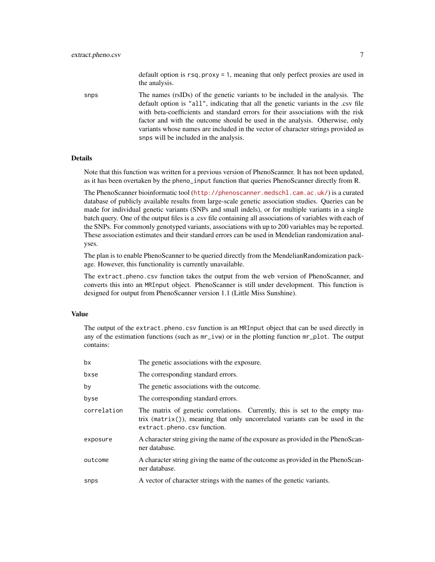default option is rsq.proxy = 1, meaning that only perfect proxies are used in the analysis.

snps The names (rsIDs) of the genetic variants to be included in the analysis. The default option is "all", indicating that all the genetic variants in the .csv file with beta-coefficients and standard errors for their associations with the risk factor and with the outcome should be used in the analysis. Otherwise, only variants whose names are included in the vector of character strings provided as snps will be included in the analysis.

#### Details

Note that this function was written for a previous version of PhenoScanner. It has not been updated, as it has been overtaken by the pheno\_input function that queries PhenoScanner directly from R.

The PhenoScanner bioinformatic tool (<http://phenoscanner.medschl.cam.ac.uk/>) is a curated database of publicly available results from large-scale genetic association studies. Queries can be made for individual genetic variants (SNPs and small indels), or for multiple variants in a single batch query. One of the output files is a .csv file containing all associations of variables with each of the SNPs. For commonly genotyped variants, associations with up to 200 variables may be reported. These association estimates and their standard errors can be used in Mendelian randomization analyses.

The plan is to enable PhenoScanner to be queried directly from the MendelianRandomization package. However, this functionality is currently unavailable.

The extract.pheno.csv function takes the output from the web version of PhenoScanner, and converts this into an MRInput object. PhenoScanner is still under development. This function is designed for output from PhenoScanner version 1.1 (Little Miss Sunshine).

# Value

The output of the extract.pheno.csv function is an MRInput object that can be used directly in any of the estimation functions (such as mr\_ivw) or in the plotting function mr\_plot. The output contains:

| bx          | The genetic associations with the exposure.                                                                                                                                                 |
|-------------|---------------------------------------------------------------------------------------------------------------------------------------------------------------------------------------------|
| bxse        | The corresponding standard errors.                                                                                                                                                          |
| by          | The genetic associations with the outcome.                                                                                                                                                  |
| byse        | The corresponding standard errors.                                                                                                                                                          |
| correlation | The matrix of genetic correlations. Currently, this is set to the empty ma-<br>$trix$ (matrix()), meaning that only uncorrelated variants can be used in the<br>extract.pheno.csv function. |
| exposure    | A character string giving the name of the exposure as provided in the PhenoScan-<br>ner database.                                                                                           |
| outcome     | A character string giving the name of the outcome as provided in the PhenoScan-<br>ner database.                                                                                            |
| snps        | A vector of character strings with the names of the genetic variants.                                                                                                                       |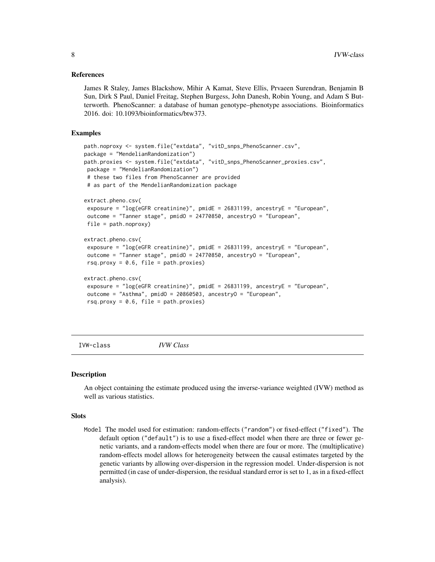## <span id="page-7-0"></span>References

James R Staley, James Blackshow, Mihir A Kamat, Steve Ellis, Prvaeen Surendran, Benjamin B Sun, Dirk S Paul, Daniel Freitag, Stephen Burgess, John Danesh, Robin Young, and Adam S Butterworth. PhenoScanner: a database of human genotype–phenotype associations. Bioinformatics 2016. doi: 10.1093/bioinformatics/btw373.

# Examples

```
path.noproxy <- system.file("extdata", "vitD_snps_PhenoScanner.csv",
package = "MendelianRandomization")
path.proxies <- system.file("extdata", "vitD_snps_PhenoScanner_proxies.csv",
package = "MendelianRandomization")
# these two files from PhenoScanner are provided
 # as part of the MendelianRandomization package
extract.pheno.csv(
exposure = "log(eGFR creatinine)", pmidE = 26831199, ancestryE = "European",
 outcome = "Tanner stage", pmidO = 24770850, ancestryO = "European",
 file = path.noproxy)
extract.pheno.csv(
 exposure = "log(eGFR creatinine)", pmidE = 26831199, ancestryE = "European",
outcome = "Tanner stage", pmidO = 24770850, ancestryO = "European",
rsq.proxy = 0.6, file = path.proxies)
extract.pheno.csv(
 exposure = "log(eGFR creatinine)", pmidE = 26831199, ancestryE = "European",
 outcome = "Asthma", pmidO = 20860503, ancestryO = "European",
rsq.proxy = 0.6, file = path.proxies)
```
IVW-class *IVW Class*

# Description

An object containing the estimate produced using the inverse-variance weighted (IVW) method as well as various statistics.

#### **Slots**

Model The model used for estimation: random-effects ("random") or fixed-effect ("fixed"). The default option ("default") is to use a fixed-effect model when there are three or fewer genetic variants, and a random-effects model when there are four or more. The (multiplicative) random-effects model allows for heterogeneity between the causal estimates targeted by the genetic variants by allowing over-dispersion in the regression model. Under-dispersion is not permitted (in case of under-dispersion, the residual standard error is set to 1, as in a fixed-effect analysis).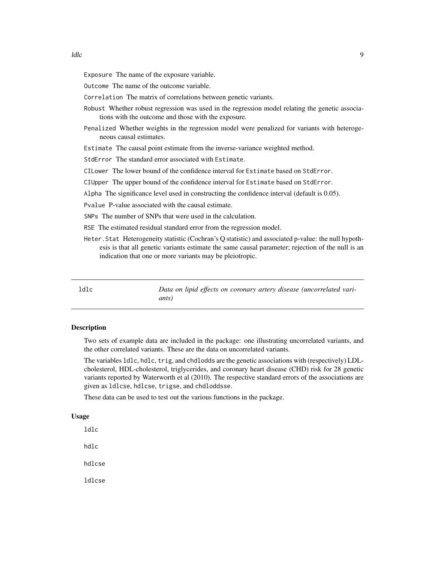<span id="page-8-0"></span>Exposure The name of the exposure variable.

Outcome The name of the outcome variable.

Correlation The matrix of correlations between genetic variants.

Robust Whether robust regression was used in the regression model relating the genetic associations with the outcome and those with the exposure.

Penalized Whether weights in the regression model were penalized for variants with heterogeneous causal estimates.

Estimate The causal point estimate from the inverse-variance weighted method.

StdError The standard error associated with Estimate.

CILower The lower bound of the confidence interval for Estimate based on StdError.

CIUpper The upper bound of the confidence interval for Estimate based on StdError.

Alpha The significance level used in constructing the confidence interval (default is 0.05).

Pvalue P-value associated with the causal estimate.

SNPs The number of SNPs that were used in the calculation.

RSE The estimated residual standard error from the regression model.

Heter.Stat Heterogeneity statistic (Cochran's Q statistic) and associated p-value: the null hypothesis is that all genetic variants estimate the same causal parameter; rejection of the null is an indication that one or more variants may be pleiotropic.

ldlc *Data on lipid effects on coronary artery disease (uncorrelated variants)*

#### Description

Two sets of example data are included in the package: one illustrating uncorrelated variants, and the other correlated variants. These are the data on uncorrelated variants.

The variables ldlc, hdlc, trig, and chdlodds are the genetic associations with (respectively) LDLcholesterol, HDL-cholesterol, triglycerides, and coronary heart disease (CHD) risk for 28 genetic variants reported by Waterworth et al (2010). The respective standard errors of the associations are given as ldlcse, hdlcse, trigse, and chdloddsse.

These data can be used to test out the various functions in the package.

# Usage

ldlc hdlc hdlcse ldlcse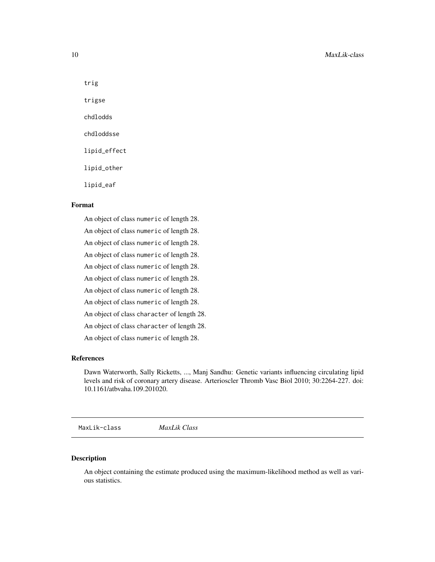trig trigse chdlodds chdloddsse lipid\_effect lipid\_other

lipid\_eaf

#### Format

An object of class numeric of length 28. An object of class numeric of length 28. An object of class numeric of length 28. An object of class numeric of length 28. An object of class numeric of length 28. An object of class numeric of length 28. An object of class numeric of length 28. An object of class numeric of length 28. An object of class character of length 28. An object of class character of length 28. An object of class numeric of length 28.

# References

Dawn Waterworth, Sally Ricketts, ..., Manj Sandhu: Genetic variants influencing circulating lipid levels and risk of coronary artery disease. Arterioscler Thromb Vasc Biol 2010; 30:2264-227. doi: 10.1161/atbvaha.109.201020.

MaxLik-class *MaxLik Class*

# Description

An object containing the estimate produced using the maximum-likelihood method as well as various statistics.

<span id="page-9-0"></span>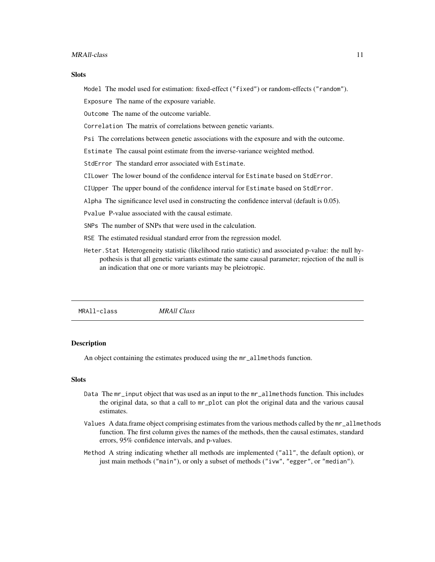#### <span id="page-10-0"></span>**Slots**

Model The model used for estimation: fixed-effect ("fixed") or random-effects ("random").

Exposure The name of the exposure variable.

Outcome The name of the outcome variable.

Correlation The matrix of correlations between genetic variants.

Psi The correlations between genetic associations with the exposure and with the outcome.

Estimate The causal point estimate from the inverse-variance weighted method.

StdError The standard error associated with Estimate.

CILower The lower bound of the confidence interval for Estimate based on StdError.

CIUpper The upper bound of the confidence interval for Estimate based on StdError.

Alpha The significance level used in constructing the confidence interval (default is 0.05).

Pvalue P-value associated with the causal estimate.

SNPs The number of SNPs that were used in the calculation.

RSE The estimated residual standard error from the regression model.

Heter.Stat Heterogeneity statistic (likelihood ratio statistic) and associated p-value: the null hypothesis is that all genetic variants estimate the same causal parameter; rejection of the null is an indication that one or more variants may be pleiotropic.

MRAll-class *MRAll Class*

# Description

An object containing the estimates produced using the mr\_allmethods function.

## **Slots**

- Data The mr\_input object that was used as an input to the mr\_allmethods function. This includes the original data, so that a call to mr\_plot can plot the original data and the various causal estimates.
- Values A data.frame object comprising estimates from the various methods called by the mr\_allmethods function. The first column gives the names of the methods, then the causal estimates, standard errors, 95% confidence intervals, and p-values.
- Method A string indicating whether all methods are implemented ("all", the default option), or just main methods ("main"), or only a subset of methods ("ivw", "egger", or "median").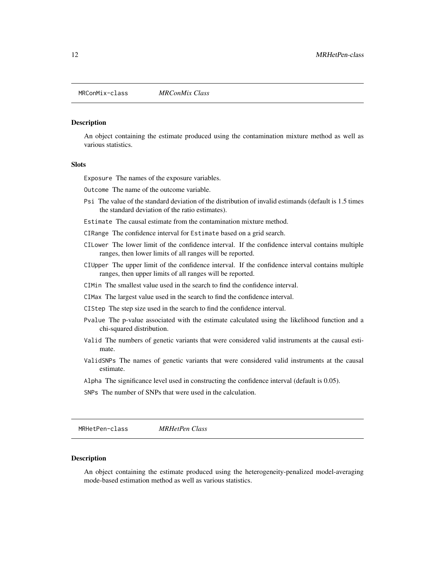<span id="page-11-0"></span>MRConMix-class *MRConMix Class*

#### Description

An object containing the estimate produced using the contamination mixture method as well as various statistics.

# **Slots**

Exposure The names of the exposure variables.

Outcome The name of the outcome variable.

- Psi The value of the standard deviation of the distribution of invalid estimands (default is 1.5 times the standard deviation of the ratio estimates).
- Estimate The causal estimate from the contamination mixture method.
- CIRange The confidence interval for Estimate based on a grid search.
- CILower The lower limit of the confidence interval. If the confidence interval contains multiple ranges, then lower limits of all ranges will be reported.
- CIUpper The upper limit of the confidence interval. If the confidence interval contains multiple ranges, then upper limits of all ranges will be reported.
- CIMin The smallest value used in the search to find the confidence interval.
- CIMax The largest value used in the search to find the confidence interval.
- CIStep The step size used in the search to find the confidence interval.
- Pvalue The p-value associated with the estimate calculated using the likelihood function and a chi-squared distribution.
- Valid The numbers of genetic variants that were considered valid instruments at the causal estimate.
- ValidSNPs The names of genetic variants that were considered valid instruments at the causal estimate.
- Alpha The significance level used in constructing the confidence interval (default is 0.05).
- SNPs The number of SNPs that were used in the calculation.

MRHetPen-class *MRHetPen Class*

#### **Description**

An object containing the estimate produced using the heterogeneity-penalized model-averaging mode-based estimation method as well as various statistics.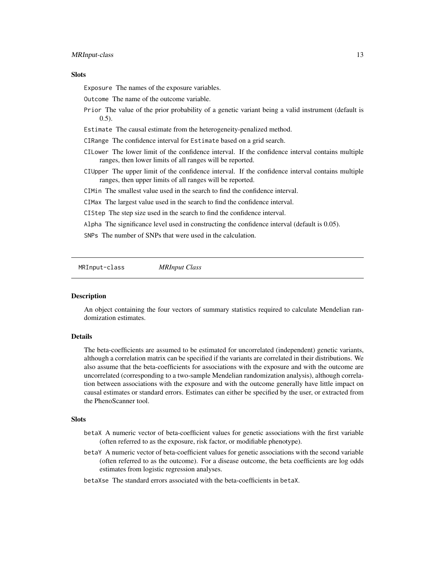#### <span id="page-12-0"></span>MRInput-class 13

# **Slots**

Exposure The names of the exposure variables.

Outcome The name of the outcome variable.

- Prior The value of the prior probability of a genetic variant being a valid instrument (default is  $(0.5)$ .
- Estimate The causal estimate from the heterogeneity-penalized method.
- CIRange The confidence interval for Estimate based on a grid search.
- CILower The lower limit of the confidence interval. If the confidence interval contains multiple ranges, then lower limits of all ranges will be reported.
- CIUpper The upper limit of the confidence interval. If the confidence interval contains multiple ranges, then upper limits of all ranges will be reported.
- CIMin The smallest value used in the search to find the confidence interval.
- CIMax The largest value used in the search to find the confidence interval.

CIStep The step size used in the search to find the confidence interval.

Alpha The significance level used in constructing the confidence interval (default is 0.05).

SNPs The number of SNPs that were used in the calculation.

MRInput-class *MRInput Class*

#### **Description**

An object containing the four vectors of summary statistics required to calculate Mendelian randomization estimates.

#### Details

The beta-coefficients are assumed to be estimated for uncorrelated (independent) genetic variants, although a correlation matrix can be specified if the variants are correlated in their distributions. We also assume that the beta-coefficients for associations with the exposure and with the outcome are uncorrelated (corresponding to a two-sample Mendelian randomization analysis), although correlation between associations with the exposure and with the outcome generally have little impact on causal estimates or standard errors. Estimates can either be specified by the user, or extracted from the PhenoScanner tool.

#### Slots

- betaX A numeric vector of beta-coefficient values for genetic associations with the first variable (often referred to as the exposure, risk factor, or modifiable phenotype).
- betaY A numeric vector of beta-coefficient values for genetic associations with the second variable (often referred to as the outcome). For a disease outcome, the beta coefficients are log odds estimates from logistic regression analyses.
- betaXse The standard errors associated with the beta-coefficients in betaX.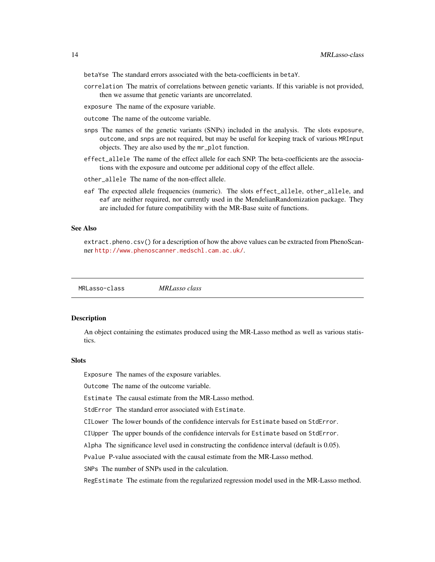<span id="page-13-0"></span>betaYse The standard errors associated with the beta-coefficients in betaY.

- correlation The matrix of correlations between genetic variants. If this variable is not provided, then we assume that genetic variants are uncorrelated.
- exposure The name of the exposure variable.
- outcome The name of the outcome variable.
- snps The names of the genetic variants (SNPs) included in the analysis. The slots exposure, outcome, and snps are not required, but may be useful for keeping track of various MRInput objects. They are also used by the mr\_plot function.
- effect\_allele The name of the effect allele for each SNP. The beta-coefficients are the associations with the exposure and outcome per additional copy of the effect allele.
- other\_allele The name of the non-effect allele.
- eaf The expected allele frequencies (numeric). The slots effect\_allele, other\_allele, and eaf are neither required, nor currently used in the MendelianRandomization package. They are included for future compatibility with the MR-Base suite of functions.

#### See Also

extract.pheno.csv() for a description of how the above values can be extracted from PhenoScanner <http://www.phenoscanner.medschl.cam.ac.uk/>.

MRLasso-class *MRLasso class*

## **Description**

An object containing the estimates produced using the MR-Lasso method as well as various statistics.

#### **Slots**

Exposure The names of the exposure variables.

Outcome The name of the outcome variable.

Estimate The causal estimate from the MR-Lasso method.

StdError The standard error associated with Estimate.

CILower The lower bounds of the confidence intervals for Estimate based on StdError.

CIUpper The upper bounds of the confidence intervals for Estimate based on StdError.

Alpha The significance level used in constructing the confidence interval (default is 0.05).

Pvalue P-value associated with the causal estimate from the MR-Lasso method.

SNPs The number of SNPs used in the calculation.

RegEstimate The estimate from the regularized regression model used in the MR-Lasso method.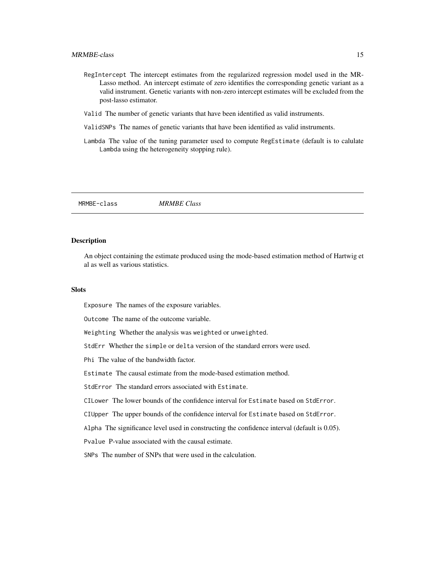- <span id="page-14-0"></span>RegIntercept The intercept estimates from the regularized regression model used in the MR-Lasso method. An intercept estimate of zero identifies the corresponding genetic variant as a valid instrument. Genetic variants with non-zero intercept estimates will be excluded from the post-lasso estimator.
- Valid The number of genetic variants that have been identified as valid instruments.
- ValidSNPs The names of genetic variants that have been identified as valid instruments.
- Lambda The value of the tuning parameter used to compute RegEstimate (default is to calulate Lambda using the heterogeneity stopping rule).

MRMBE-class *MRMBE Class*

#### **Description**

An object containing the estimate produced using the mode-based estimation method of Hartwig et al as well as various statistics.

#### Slots

Exposure The names of the exposure variables.

Outcome The name of the outcome variable.

Weighting Whether the analysis was weighted or unweighted.

StdErr Whether the simple or delta version of the standard errors were used.

Phi The value of the bandwidth factor.

Estimate The causal estimate from the mode-based estimation method.

StdError The standard errors associated with Estimate.

CILower The lower bounds of the confidence interval for Estimate based on StdError.

CIUpper The upper bounds of the confidence interval for Estimate based on StdError.

Alpha The significance level used in constructing the confidence interval (default is 0.05).

Pvalue P-value associated with the causal estimate.

SNPs The number of SNPs that were used in the calculation.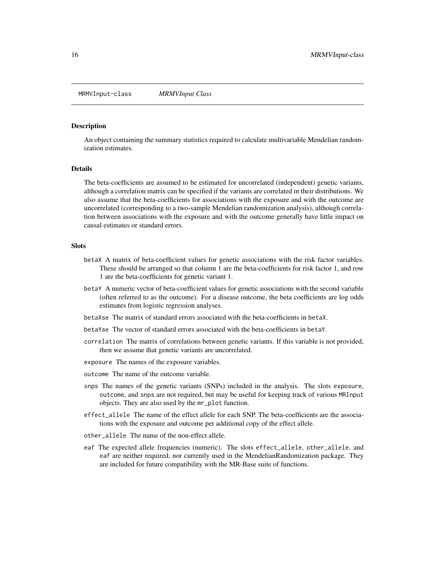<span id="page-15-0"></span>MRMVInput-class *MRMVInput Class*

#### **Description**

An object containing the summary statistics required to calculate multivariable Mendelian randomization estimates.

## Details

The beta-coefficients are assumed to be estimated for uncorrelated (independent) genetic variants, although a correlation matrix can be specified if the variants are correlated in their distributions. We also assume that the beta-coefficients for associations with the exposure and with the outcome are uncorrelated (corresponding to a two-sample Mendelian randomization analysis), although correlation between associations with the exposure and with the outcome generally have little impact on causal estimates or standard errors.

# **Slots**

- betaX A matrix of beta-coefficient values for genetic associations with the risk factor variables. These should be arranged so that column 1 are the beta-coefficients for risk factor 1, and row 1 are the beta-coefficients for genetic variant 1.
- betaY A numeric vector of beta-coefficient values for genetic associations with the second variable (often referred to as the outcome). For a disease outcome, the beta coefficients are log odds estimates from logistic regression analyses.
- betaXse The matrix of standard errors associated with the beta-coefficients in betaX.
- betaYse The vector of standard errors associated with the beta-coefficients in betaY.
- correlation The matrix of correlations between genetic variants. If this variable is not provided, then we assume that genetic variants are uncorrelated.
- exposure The names of the exposure variables.
- outcome The name of the outcome variable.
- snps The names of the genetic variants (SNPs) included in the analysis. The slots exposure, outcome, and snps are not required, but may be useful for keeping track of various MRInput objects. They are also used by the mr\_plot function.
- effect\_allele The name of the effect allele for each SNP. The beta-coefficients are the associations with the exposure and outcome per additional copy of the effect allele.
- other\_allele The name of the non-effect allele.
- eaf The expected allele frequencies (numeric). The slots effect\_allele, other\_allele, and eaf are neither required, nor currently used in the MendelianRandomization package. They are included for future compatibility with the MR-Base suite of functions.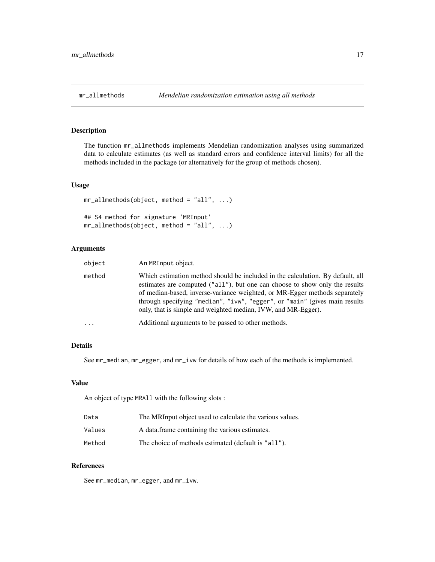# <span id="page-16-0"></span>Description

The function mr\_allmethods implements Mendelian randomization analyses using summarized data to calculate estimates (as well as standard errors and confidence interval limits) for all the methods included in the package (or alternatively for the group of methods chosen).

#### Usage

```
mr_allmethods(object, method = "all", ...)
## S4 method for signature 'MRInput'
mr\_allmethods(object, method = "all", ...)
```
# Arguments

| object   | An MRInput object.                                                                                                                                                                                                                                                                                                                                                                         |
|----------|--------------------------------------------------------------------------------------------------------------------------------------------------------------------------------------------------------------------------------------------------------------------------------------------------------------------------------------------------------------------------------------------|
| method   | Which estimation method should be included in the calculation. By default, all<br>estimates are computed ("all"), but one can choose to show only the results<br>of median-based, inverse-variance weighted, or MR-Egger methods separately<br>through specifying "median", "ivw", "egger", or "main" (gives main results<br>only, that is simple and weighted median, IVW, and MR-Egger). |
| $\ddots$ | Additional arguments to be passed to other methods.                                                                                                                                                                                                                                                                                                                                        |

# Details

See mr\_median, mr\_egger, and mr\_ivw for details of how each of the methods is implemented.

# Value

An object of type MRAll with the following slots :

| Data   | The MRI nput object used to calculate the various values. |
|--------|-----------------------------------------------------------|
| Values | A data frame containing the various estimates.            |
| Method | The choice of methods estimated (default is "all").       |

#### References

See mr\_median, mr\_egger, and mr\_ivw.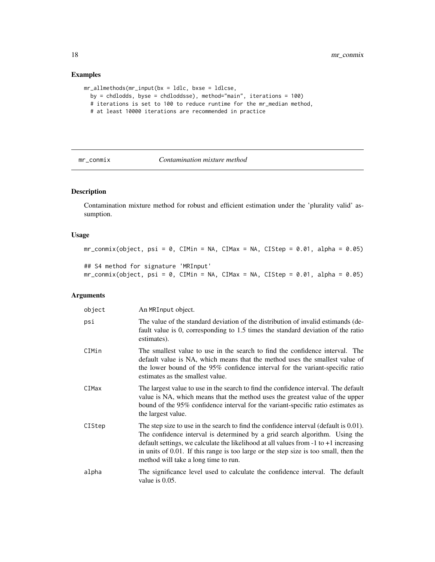# Examples

```
mr\_allmethods(mr_input(bx = ldlc, bxse = ldlcse,
  by = chdlodds, byse = chdloddsse), method="main", iterations = 100)
  # iterations is set to 100 to reduce runtime for the mr_median method,
  # at least 10000 iterations are recommended in practice
```
# mr\_conmix *Contamination mixture method*

# Description

Contamination mixture method for robust and efficient estimation under the 'plurality valid' assumption.

# Usage

```
mr\_commix(object, psi = 0, CIMin = NA, CIMax = NA, CIStep = 0.01, alpha = 0.05)## S4 method for signature 'MRInput'
mr\_commix(object, psi = 0, CIMin = NA, CIMax = NA, CIStep = 0.01, alpha = 0.05)
```

| object | An MRInput object.                                                                                                                                                                                                                                                                                                                                                                                  |
|--------|-----------------------------------------------------------------------------------------------------------------------------------------------------------------------------------------------------------------------------------------------------------------------------------------------------------------------------------------------------------------------------------------------------|
| psi    | The value of the standard deviation of the distribution of invalid estimands (de-<br>fault value is 0, corresponding to 1.5 times the standard deviation of the ratio<br>estimates).                                                                                                                                                                                                                |
| CIMin  | The smallest value to use in the search to find the confidence interval. The<br>default value is NA, which means that the method uses the smallest value of<br>the lower bound of the 95% confidence interval for the variant-specific ratio<br>estimates as the smallest value.                                                                                                                    |
| CIMax  | The largest value to use in the search to find the confidence interval. The default<br>value is NA, which means that the method uses the greatest value of the upper<br>bound of the 95% confidence interval for the variant-specific ratio estimates as<br>the largest value.                                                                                                                      |
| CIStep | The step size to use in the search to find the confidence interval (default is $0.01$ ).<br>The confidence interval is determined by a grid search algorithm. Using the<br>default settings, we calculate the likelihood at all values from $-1$ to $+1$ increasing<br>in units of 0.01. If this range is too large or the step size is too small, then the<br>method will take a long time to run. |
| alpha  | The significance level used to calculate the confidence interval. The default<br>value is 0.05.                                                                                                                                                                                                                                                                                                     |

<span id="page-17-0"></span>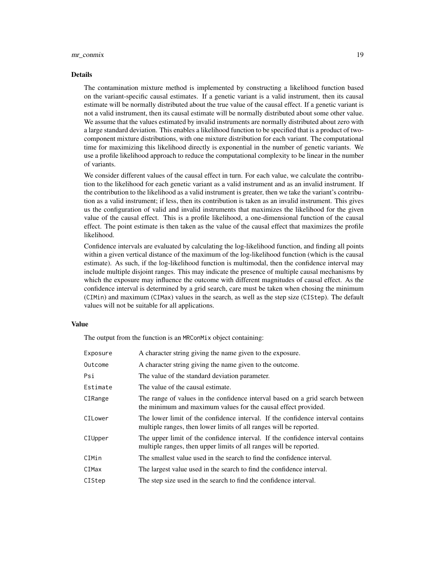# mr\_conmix 19

#### Details

The contamination mixture method is implemented by constructing a likelihood function based on the variant-specific causal estimates. If a genetic variant is a valid instrument, then its causal estimate will be normally distributed about the true value of the causal effect. If a genetic variant is not a valid instrument, then its causal estimate will be normally distributed about some other value. We assume that the values estimated by invalid instruments are normally distributed about zero with a large standard deviation. This enables a likelihood function to be specified that is a product of twocomponent mixture distributions, with one mixture distribution for each variant. The computational time for maximizing this likelihood directly is exponential in the number of genetic variants. We use a profile likelihood approach to reduce the computational complexity to be linear in the number of variants.

We consider different values of the causal effect in turn. For each value, we calculate the contribution to the likelihood for each genetic variant as a valid instrument and as an invalid instrument. If the contribution to the likelihood as a valid instrument is greater, then we take the variant's contribution as a valid instrument; if less, then its contribution is taken as an invalid instrument. This gives us the configuration of valid and invalid instruments that maximizes the likelihood for the given value of the causal effect. This is a profile likelihood, a one-dimensional function of the causal effect. The point estimate is then taken as the value of the causal effect that maximizes the profile likelihood.

Confidence intervals are evaluated by calculating the log-likelihood function, and finding all points within a given vertical distance of the maximum of the log-likelihood function (which is the causal estimate). As such, if the log-likelihood function is multimodal, then the confidence interval may include multiple disjoint ranges. This may indicate the presence of multiple causal mechanisms by which the exposure may influence the outcome with different magnitudes of causal effect. As the confidence interval is determined by a grid search, care must be taken when chosing the minimum (CIMin) and maximum (CIMax) values in the search, as well as the step size (CIStep). The default values will not be suitable for all applications.

#### Value

The output from the function is an MRConMix object containing:

| Exposure | A character string giving the name given to the exposure.                                                                                             |
|----------|-------------------------------------------------------------------------------------------------------------------------------------------------------|
| Outcome  | A character string giving the name given to the outcome.                                                                                              |
| Psi      | The value of the standard deviation parameter.                                                                                                        |
| Estimate | The value of the causal estimate.                                                                                                                     |
| CIRange  | The range of values in the confidence interval based on a grid search between<br>the minimum and maximum values for the causal effect provided.       |
| CILower  | The lower limit of the confidence interval. If the confidence interval contains<br>multiple ranges, then lower limits of all ranges will be reported. |
| CIUpper  | The upper limit of the confidence interval. If the confidence interval contains<br>multiple ranges, then upper limits of all ranges will be reported. |
| CIMin    | The smallest value used in the search to find the confidence interval.                                                                                |
| CIMax    | The largest value used in the search to find the confidence interval.                                                                                 |
| CIStep   | The step size used in the search to find the confidence interval.                                                                                     |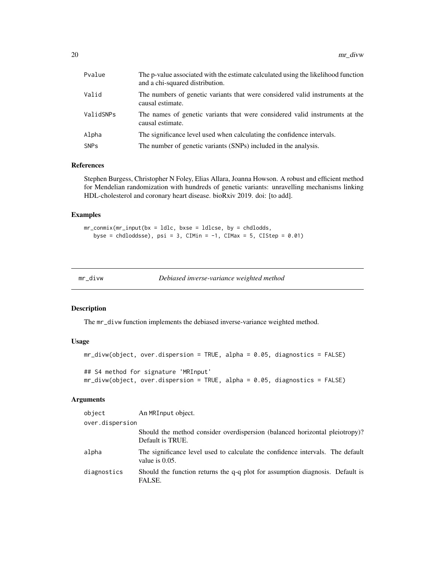<span id="page-19-0"></span>

| Pvalue                 | The p-value associated with the estimate calculated using the likelihood function<br>and a chi-squared distribution. |
|------------------------|----------------------------------------------------------------------------------------------------------------------|
| Valid                  | The numbers of genetic variants that were considered valid instruments at the<br>causal estimate.                    |
| ValidSNPs              | The names of genetic variants that were considered valid instruments at the<br>causal estimate.                      |
| Alpha                  | The significance level used when calculating the confidence intervals.                                               |
| <b>SNP<sub>S</sub></b> | The number of genetic variants (SNPs) included in the analysis.                                                      |

# References

Stephen Burgess, Christopher N Foley, Elias Allara, Joanna Howson. A robust and efficient method for Mendelian randomization with hundreds of genetic variants: unravelling mechanisms linking HDL-cholesterol and coronary heart disease. bioRxiv 2019. doi: [to add].

# Examples

```
mr\_commit(m\_input(bx = 1dlc, bxse = 1dlcse, by = chdlodds,byse = chdloddsse), psi = 3, CIMin = -1, CIMax = 5, CIStep = 0.01)
```

| mr | divw |
|----|------|

```
mr_divw Debiased inverse-variance weighted method
```
# Description

The mr\_divw function implements the debiased inverse-variance weighted method.

#### Usage

```
mr_divw(object, over.dispersion = TRUE, alpha = 0.05, diagnostics = FALSE)
## S4 method for signature 'MRInput'
mr_divw(object, over.dispersion = TRUE, alpha = 0.05, diagnostics = FALSE)
```

| object          | An MRInput object.                                                                                  |
|-----------------|-----------------------------------------------------------------------------------------------------|
| over.dispersion |                                                                                                     |
|                 | Should the method consider overdispersion (balanced horizontal pleiotropy)?<br>Default is TRUE.     |
| alpha           | The significance level used to calculate the confidence intervals. The default<br>value is $0.05$ . |
| diagnostics     | Should the function returns the q-q plot for assumption diagnosis. Default is<br>FALSE.             |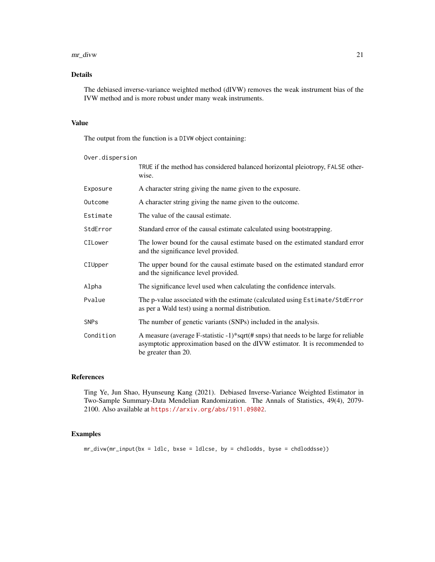#### mr\_divw 21

# Details

The debiased inverse-variance weighted method (dIVW) removes the weak instrument bias of the IVW method and is more robust under many weak instruments.

# Value

The output from the function is a DIVW object containing:

| Over.dispersion |                                                                                                                                                                                          |
|-----------------|------------------------------------------------------------------------------------------------------------------------------------------------------------------------------------------|
|                 | TRUE if the method has considered balanced horizontal pleiotropy, FALSE other-<br>wise.                                                                                                  |
| Exposure        | A character string giving the name given to the exposure.                                                                                                                                |
| Outcome         | A character string giving the name given to the outcome.                                                                                                                                 |
| Estimate        | The value of the causal estimate.                                                                                                                                                        |
| StdError        | Standard error of the causal estimate calculated using bootstrapping.                                                                                                                    |
| CILower         | The lower bound for the causal estimate based on the estimated standard error<br>and the significance level provided.                                                                    |
| CIUpper         | The upper bound for the causal estimate based on the estimated standard error<br>and the significance level provided.                                                                    |
| Alpha           | The significance level used when calculating the confidence intervals.                                                                                                                   |
| Pvalue          | The p-value associated with the estimate (calculated using Estimate/StdError<br>as per a Wald test) using a normal distribution.                                                         |
| <b>SNPs</b>     | The number of genetic variants (SNPs) included in the analysis.                                                                                                                          |
| Condition       | A measure (average F-statistic -1)*sqrt(# snps) that needs to be large for reliable<br>asymptotic approximation based on the dIVW estimator. It is recommended to<br>be greater than 20. |

# References

Ting Ye, Jun Shao, Hyunseung Kang (2021). Debiased Inverse-Variance Weighted Estimator in Two-Sample Summary-Data Mendelian Randomization. The Annals of Statistics, 49(4), 2079- 2100. Also available at <https://arxiv.org/abs/1911.09802>.

# Examples

mr\_divw(mr\_input(bx = ldlc, bxse = ldlcse, by = chdlodds, byse = chdloddsse))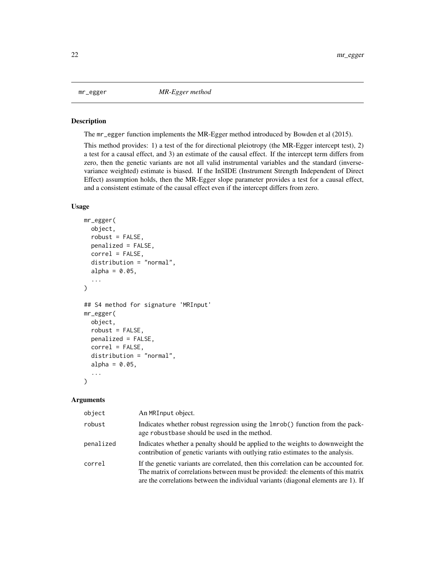# <span id="page-21-0"></span>Description

The mr\_egger function implements the MR-Egger method introduced by Bowden et al (2015).

This method provides: 1) a test of the for directional pleiotropy (the MR-Egger intercept test), 2) a test for a causal effect, and 3) an estimate of the causal effect. If the intercept term differs from zero, then the genetic variants are not all valid instrumental variables and the standard (inversevariance weighted) estimate is biased. If the InSIDE (Instrument Strength Independent of Direct Effect) assumption holds, then the MR-Egger slope parameter provides a test for a causal effect, and a consistent estimate of the causal effect even if the intercept differs from zero.

# Usage

```
mr_egger(
  object,
  robust = FALSE,penalized = FALSE,
  correl = FALSE,
  distribution = "normal",
  alpha = 0.05,
  ...
)
## S4 method for signature 'MRInput'
mr_egger(
  object,
  robust = FALSE,penalized = FALSE,
  correl = FALSE,
  distribution = "normal",
  alpha = 0.05,
  ...
)
```

| object    | An MRInput object.                                                                                                                                                                                                                                            |
|-----------|---------------------------------------------------------------------------------------------------------------------------------------------------------------------------------------------------------------------------------------------------------------|
| robust    | Indicates whether robust regression using the $lmrob()$ function from the pack-<br>age robustbase should be used in the method.                                                                                                                               |
| penalized | Indicates whether a penalty should be applied to the weights to downweight the<br>contribution of genetic variants with outlying ratio estimates to the analysis.                                                                                             |
| correl    | If the genetic variants are correlated, then this correlation can be accounted for.<br>The matrix of correlations between must be provided: the elements of this matrix<br>are the correlations between the individual variants (diagonal elements are 1). If |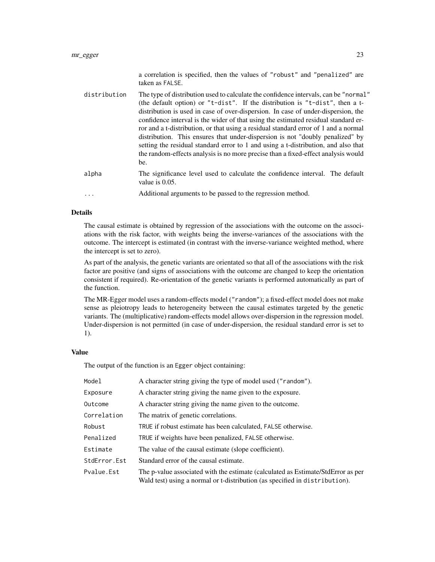|              | a correlation is specified, then the values of "robust" and "penalized" are<br>taken as FALSE.                                                                                                                                                                                                                                                                                                                                                                                                                                                                                                                                                                                                            |
|--------------|-----------------------------------------------------------------------------------------------------------------------------------------------------------------------------------------------------------------------------------------------------------------------------------------------------------------------------------------------------------------------------------------------------------------------------------------------------------------------------------------------------------------------------------------------------------------------------------------------------------------------------------------------------------------------------------------------------------|
| distribution | The type of distribution used to calculate the confidence intervals, can be "normal"<br>(the default option) or "t-dist". If the distribution is "t-dist", then a t-<br>distribution is used in case of over-dispersion. In case of under-dispersion, the<br>confidence interval is the wider of that using the estimated residual standard er-<br>ror and a t-distribution, or that using a residual standard error of 1 and a normal<br>distribution. This ensures that under-dispersion is not "doubly penalized" by<br>setting the residual standard error to 1 and using a t-distribution, and also that<br>the random-effects analysis is no more precise than a fixed-effect analysis would<br>be. |
| alpha        | The significance level used to calculate the confidence interval. The default<br>value is $0.05$ .                                                                                                                                                                                                                                                                                                                                                                                                                                                                                                                                                                                                        |
| .            | Additional arguments to be passed to the regression method.                                                                                                                                                                                                                                                                                                                                                                                                                                                                                                                                                                                                                                               |

#### Details

The causal estimate is obtained by regression of the associations with the outcome on the associations with the risk factor, with weights being the inverse-variances of the associations with the outcome. The intercept is estimated (in contrast with the inverse-variance weighted method, where the intercept is set to zero).

As part of the analysis, the genetic variants are orientated so that all of the associations with the risk factor are positive (and signs of associations with the outcome are changed to keep the orientation consistent if required). Re-orientation of the genetic variants is performed automatically as part of the function.

The MR-Egger model uses a random-effects model ("random"); a fixed-effect model does not make sense as pleiotropy leads to heterogeneity between the causal estimates targeted by the genetic variants. The (multiplicative) random-effects model allows over-dispersion in the regression model. Under-dispersion is not permitted (in case of under-dispersion, the residual standard error is set to 1).

#### Value

The output of the function is an Egger object containing:

| Model        | A character string giving the type of model used ("random").                                                                                                    |
|--------------|-----------------------------------------------------------------------------------------------------------------------------------------------------------------|
| Exposure     | A character string giving the name given to the exposure.                                                                                                       |
| Outcome      | A character string giving the name given to the outcome.                                                                                                        |
| Correlation  | The matrix of genetic correlations.                                                                                                                             |
| Robust       | TRUE if robust estimate has been calculated, FALSE otherwise.                                                                                                   |
| Penalized    | TRUE if weights have been penalized, FALSE otherwise.                                                                                                           |
| Estimate     | The value of the causal estimate (slope coefficient).                                                                                                           |
| StdError.Est | Standard error of the causal estimate.                                                                                                                          |
| Pvalue.Est   | The p-value associated with the estimate (calculated as Estimate/StdError as per<br>Wald test) using a normal or t-distribution (as specified in distribution). |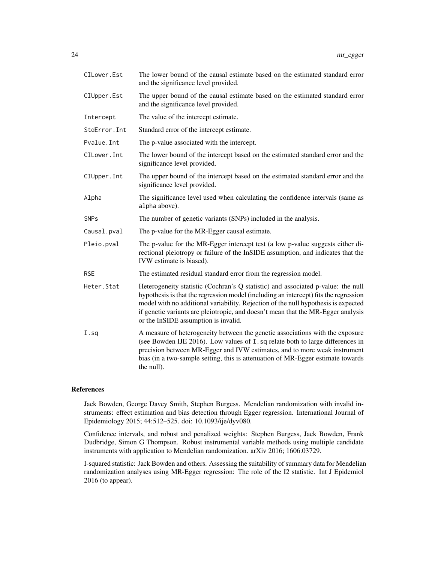| CILower.Est   | The lower bound of the causal estimate based on the estimated standard error<br>and the significance level provided.                                                                                                                                                                                                                                                                       |
|---------------|--------------------------------------------------------------------------------------------------------------------------------------------------------------------------------------------------------------------------------------------------------------------------------------------------------------------------------------------------------------------------------------------|
| CIUpper.Est   | The upper bound of the causal estimate based on the estimated standard error<br>and the significance level provided.                                                                                                                                                                                                                                                                       |
| Intercept     | The value of the intercept estimate.                                                                                                                                                                                                                                                                                                                                                       |
| StdError. Int | Standard error of the intercept estimate.                                                                                                                                                                                                                                                                                                                                                  |
| Pvalue.Int    | The p-value associated with the intercept.                                                                                                                                                                                                                                                                                                                                                 |
| CILower.Int   | The lower bound of the intercept based on the estimated standard error and the<br>significance level provided.                                                                                                                                                                                                                                                                             |
| CIUpper. Int  | The upper bound of the intercept based on the estimated standard error and the<br>significance level provided.                                                                                                                                                                                                                                                                             |
| Alpha         | The significance level used when calculating the confidence intervals (same as<br>alpha above).                                                                                                                                                                                                                                                                                            |
| <b>SNPs</b>   | The number of genetic variants (SNPs) included in the analysis.                                                                                                                                                                                                                                                                                                                            |
| Causal.pval   | The p-value for the MR-Egger causal estimate.                                                                                                                                                                                                                                                                                                                                              |
| Pleio.pval    | The p-value for the MR-Egger intercept test (a low p-value suggests either di-<br>rectional pleiotropy or failure of the InSIDE assumption, and indicates that the<br>IVW estimate is biased).                                                                                                                                                                                             |
| RSE           | The estimated residual standard error from the regression model.                                                                                                                                                                                                                                                                                                                           |
| Heter.Stat    | Heterogeneity statistic (Cochran's Q statistic) and associated p-value: the null<br>hypothesis is that the regression model (including an intercept) fits the regression<br>model with no additional variability. Rejection of the null hypothesis is expected<br>if genetic variants are pleiotropic, and doesn't mean that the MR-Egger analysis<br>or the InSIDE assumption is invalid. |
| I.sq          | A measure of heterogeneity between the genetic associations with the exposure<br>(see Bowden IJE 2016). Low values of I.sq relate both to large differences in<br>precision between MR-Egger and IVW estimates, and to more weak instrument<br>bias (in a two-sample setting, this is attenuation of MR-Egger estimate towards<br>the null).                                               |

#### References

Jack Bowden, George Davey Smith, Stephen Burgess. Mendelian randomization with invalid instruments: effect estimation and bias detection through Egger regression. International Journal of Epidemiology 2015; 44:512–525. doi: 10.1093/ije/dyv080.

Confidence intervals, and robust and penalized weights: Stephen Burgess, Jack Bowden, Frank Dudbridge, Simon G Thompson. Robust instrumental variable methods using multiple candidate instruments with application to Mendelian randomization. arXiv 2016; 1606.03729.

I-squared statistic: Jack Bowden and others. Assessing the suitability of summary data for Mendelian randomization analyses using MR-Egger regression: The role of the I2 statistic. Int J Epidemiol 2016 (to appear).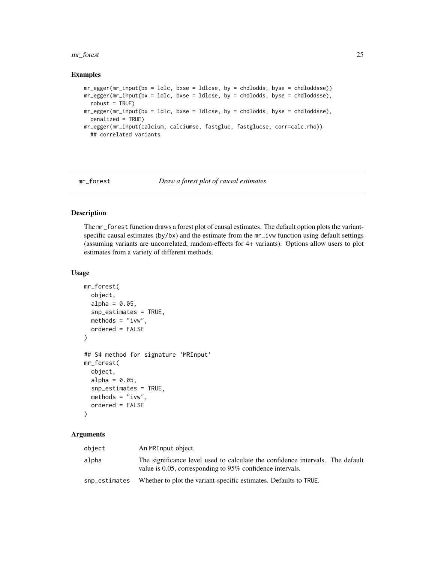#### <span id="page-24-0"></span>mr\_forest 25

#### Examples

 $mr_{egger(mr_{input}(bx = 1d)c, bxse = 1dlcse, by = chdlodds, byse = chdloddsse))$  $mr\_egger(m\_input(bx = 1dlc, bxse = 1dlcse, by = chdlodds, byse = chdloddsse),$  $robust = TRUE$ ) mr\_egger(mr\_input(bx = ldlc, bxse = ldlcse, by = chdlodds, byse = chdloddsse), penalized = TRUE) mr\_egger(mr\_input(calcium, calciumse, fastgluc, fastglucse, corr=calc.rho)) ## correlated variants

mr\_forest *Draw a forest plot of causal estimates*

## Description

The mr\_forest function draws a forest plot of causal estimates. The default option plots the variantspecific causal estimates (by/bx) and the estimate from the  $mr\_ivw$  function using default settings (assuming variants are uncorrelated, random-effects for 4+ variants). Options allow users to plot estimates from a variety of different methods.

# Usage

```
mr_forest(
  object,
  alpha = 0.05,
  snp_estimates = TRUE,
 methods = "ivw",ordered = FALSE
)
## S4 method for signature 'MRInput'
mr_forest(
  object,
  alpha = 0.05,
  snp_estimates = TRUE,
  methods = "ivw",ordered = FALSE
)
```

| object        | An MRInput object.                                                                                                                          |  |
|---------------|---------------------------------------------------------------------------------------------------------------------------------------------|--|
| alpha         | The significance level used to calculate the confidence intervals. The default<br>value is 0.05, corresponding to 95% confidence intervals. |  |
| snp_estimates | Whether to plot the variant-specific estimates. Defaults to TRUE.                                                                           |  |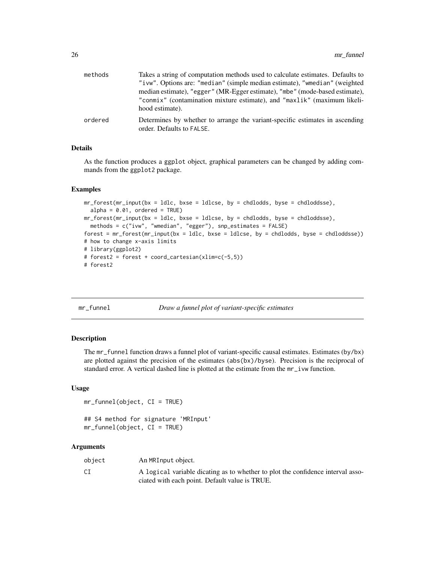<span id="page-25-0"></span>

| methods | Takes a string of computation methods used to calculate estimates. Defaults to<br>"ivw". Options are: "median" (simple median estimate), "wmedian" (weighted               |
|---------|----------------------------------------------------------------------------------------------------------------------------------------------------------------------------|
|         | median estimate), "egger" (MR-Egger estimate), "mbe" (mode-based estimate),<br>"conmix" (contamination mixture estimate), and "maxlik" (maximum likeli-<br>hood estimate). |
| ordered | Determines by whether to arrange the variant-specific estimates in ascending<br>order. Defaults to FALSE.                                                                  |

# Details

As the function produces a ggplot object, graphical parameters can be changed by adding commands from the ggplot2 package.

#### Examples

```
mr_fforest(mr_finput(bx = ldlc, bxse = ldlcse, by = chdlodds, byse = chdloddsse),
  alpha = 0.01, ordered = TRUE)
mr_forest(mr_input(bx = ldlc, bxse = ldlcse, by = chdlodds, byse = chdloddsse),
  methods = c("ivw", "wmedian", "egger"), snp_estimates = FALSE)
forest = mr_forest(mr_input(bx = ldlc, bxse = ldlcse, by = chdlodds, byse = chdloddsse))
# how to change x-axis limits
# library(ggplot2)
# forest2 = forest + coord_cartesian(xlim=c(-5,5))
# forest2
```
# mr\_funnel *Draw a funnel plot of variant-specific estimates*

#### Description

The mr\_funnel function draws a funnel plot of variant-specific causal estimates. Estimates (by/bx) are plotted against the precision of the estimates (abs(bx)/byse). Precision is the reciprocal of standard error. A vertical dashed line is plotted at the estimate from the mr\_ivw function.

## Usage

mr\_funnel(object, CI = TRUE) ## S4 method for signature 'MRInput' mr\_funnel(object, CI = TRUE)

| object | An MRInput object.                                                              |
|--------|---------------------------------------------------------------------------------|
| CI     | A logical variable dicating as to whether to plot the confidence interval asso- |
|        | ciated with each point. Default value is TRUE.                                  |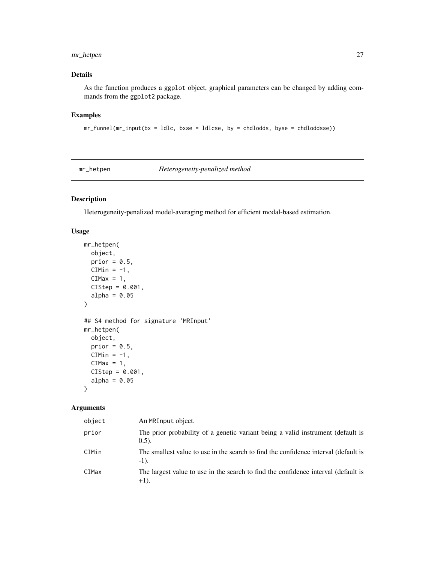# <span id="page-26-0"></span>mr\_hetpen 27

# Details

As the function produces a ggplot object, graphical parameters can be changed by adding commands from the ggplot2 package.

# Examples

mr\_funnel(mr\_input(bx = ldlc, bxse = ldlcse, by = chdlodds, byse = chdloddsse))

mr\_hetpen *Heterogeneity-penalized method*

# Description

Heterogeneity-penalized model-averaging method for efficient modal-based estimation.

# Usage

```
mr_hetpen(
 object,
 prior = 0.5,
 CIMin = -1,
 CIMax = 1,
 CIStep = 0.001,
  alpha = 0.05\mathcal{L}## S4 method for signature 'MRInput'
mr_hetpen(
 object,
 prior = 0.5,
 CIMin = -1,
 CIMax = 1,
 CIstep = 0.001,alpha = 0.05)
```

| object | An MRInput object.                                                                             |
|--------|------------------------------------------------------------------------------------------------|
| prior  | The prior probability of a genetic variant being a valid instrument (default is<br>$(0.5)$ .   |
| CIMin  | The smallest value to use in the search to find the confidence interval (default is<br>$-1$ ). |
| CIMax  | The largest value to use in the search to find the confidence interval (default is<br>$+1$ ).  |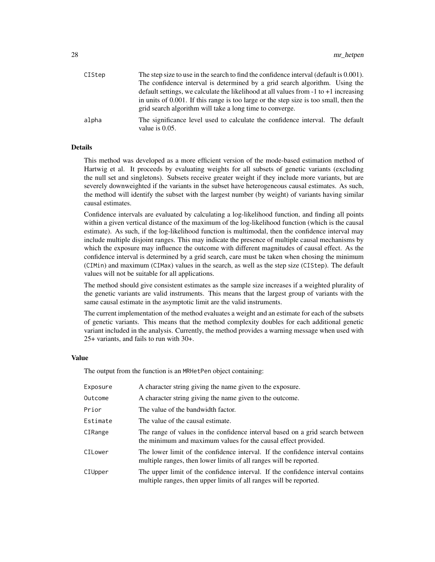| CIStep | The step size to use in the search to find the confidence interval (default is 0.001).                                                            |
|--------|---------------------------------------------------------------------------------------------------------------------------------------------------|
|        | The confidence interval is determined by a grid search algorithm. Using the                                                                       |
|        | default settings, we calculate the likelihood at all values from $-1$ to $+1$ increasing                                                          |
|        | in units of 0.001. If this range is too large or the step size is too small, then the<br>grid search algorithm will take a long time to converge. |
| alpha  | The significance level used to calculate the confidence interval. The default<br>value is 0.05.                                                   |

## Details

This method was developed as a more efficient version of the mode-based estimation method of Hartwig et al. It proceeds by evaluating weights for all subsets of genetic variants (excluding the null set and singletons). Subsets receive greater weight if they include more variants, but are severely downweighted if the variants in the subset have heterogeneous causal estimates. As such, the method will identify the subset with the largest number (by weight) of variants having similar causal estimates.

Confidence intervals are evaluated by calculating a log-likelihood function, and finding all points within a given vertical distance of the maximum of the log-likelihood function (which is the causal estimate). As such, if the log-likelihood function is multimodal, then the confidence interval may include multiple disjoint ranges. This may indicate the presence of multiple causal mechanisms by which the exposure may influence the outcome with different magnitudes of causal effect. As the confidence interval is determined by a grid search, care must be taken when chosing the minimum (CIMin) and maximum (CIMax) values in the search, as well as the step size (CIStep). The default values will not be suitable for all applications.

The method should give consistent estimates as the sample size increases if a weighted plurality of the genetic variants are valid instruments. This means that the largest group of variants with the same causal estimate in the asymptotic limit are the valid instruments.

The current implementation of the method evaluates a weight and an estimate for each of the subsets of genetic variants. This means that the method complexity doubles for each additional genetic variant included in the analysis. Currently, the method provides a warning message when used with 25+ variants, and fails to run with 30+.

#### Value

The output from the function is an MRHetPen object containing:

| A character string giving the name given to the exposure.                                                                                             |
|-------------------------------------------------------------------------------------------------------------------------------------------------------|
| A character string giving the name given to the outcome.                                                                                              |
| The value of the bandwidth factor.                                                                                                                    |
| The value of the causal estimate.                                                                                                                     |
| The range of values in the confidence interval based on a grid search between<br>the minimum and maximum values for the causal effect provided.       |
| The lower limit of the confidence interval. If the confidence interval contains<br>multiple ranges, then lower limits of all ranges will be reported. |
| The upper limit of the confidence interval. If the confidence interval contains<br>multiple ranges, then upper limits of all ranges will be reported. |
|                                                                                                                                                       |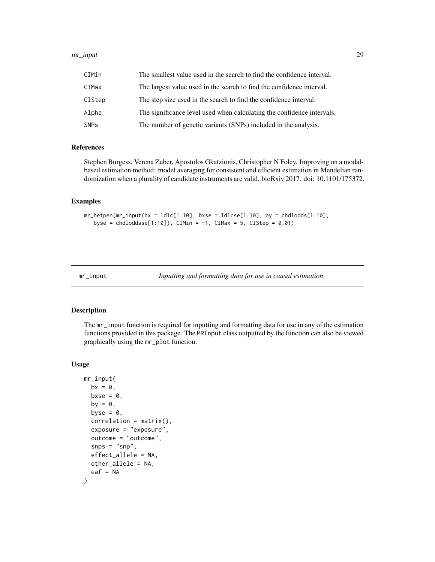#### <span id="page-28-0"></span>mr\_input 29

| CIMin       | The smallest value used in the search to find the confidence interval. |
|-------------|------------------------------------------------------------------------|
| CIMax       | The largest value used in the search to find the confidence interval.  |
| CIStep      | The step size used in the search to find the confidence interval.      |
| Alpha       | The significance level used when calculating the confidence intervals. |
| <b>SNPs</b> | The number of genetic variants (SNPs) included in the analysis.        |

## References

Stephen Burgess, Verena Zuber, Apostolos Gkatzionis, Christopher N Foley. Improving on a modalbased estimation method: model averaging for consistent and efficient estimation in Mendelian randomization when a plurality of candidate instruments are valid. bioRxiv 2017. doi: 10.1101/175372.

#### Examples

```
mr\_hetpen(mr\_input(bx = ldlc[1:10], bxse = ldlcse[1:10], by = chdlodds[1:10],byse = chdloddsse[1:10]), CIMin = -1, CIMax = 5, CIStep = 0.01)
```
mr\_input *Inputting and formatting data for use in causal estimation*

#### Description

The mr\_input function is required for inputting and formatting data for use in any of the estimation functions provided in this package. The MRInput class outputted by the function can also be viewed graphically using the mr\_plot function.

#### Usage

```
mr_input(
  bx = 0,
  bxse = \theta,
  by = \theta,
  byse = \theta,
  correlation = matrix(),exposure = "exposure",
  outcome = "outcome",
  snps = "snp",
  effect_allele = NA,
  other_allele = NA,
  eaf = NA)
```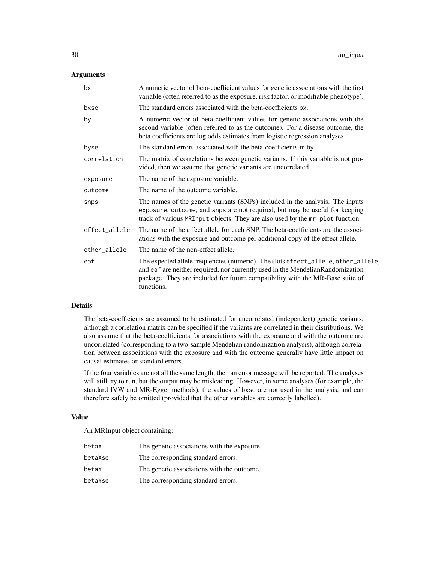# Arguments

| variable (often referred to as the exposure, risk factor, or modifiable phenotype).                                                                                                                                                                                |
|--------------------------------------------------------------------------------------------------------------------------------------------------------------------------------------------------------------------------------------------------------------------|
| The standard errors associated with the beta-coefficients bx.                                                                                                                                                                                                      |
| A numeric vector of beta-coefficient values for genetic associations with the<br>second variable (often referred to as the outcome). For a disease outcome, the<br>beta coefficients are log odds estimates from logistic regression analyses.                     |
| The standard errors associated with the beta-coefficients in by.                                                                                                                                                                                                   |
| The matrix of correlations between genetic variants. If this variable is not pro-<br>vided, then we assume that genetic variants are uncorrelated.                                                                                                                 |
| The name of the exposure variable.                                                                                                                                                                                                                                 |
| The name of the outcome variable.                                                                                                                                                                                                                                  |
| The names of the genetic variants (SNPs) included in the analysis. The inputs<br>exposure, outcome, and snps are not required, but may be useful for keeping<br>track of various MRInput objects. They are also used by the mr_plot function.                      |
| The name of the effect allele for each SNP. The beta-coefficients are the associ-<br>ations with the exposure and outcome per additional copy of the effect allele.                                                                                                |
| The name of the non-effect allele.                                                                                                                                                                                                                                 |
| The expected allele frequencies (numeric). The slots effect_allele, other_allele,<br>and eaf are neither required, nor currently used in the MendelianRandomization<br>package. They are included for future compatibility with the MR-Base suite of<br>functions. |
|                                                                                                                                                                                                                                                                    |

# Details

The beta-coefficients are assumed to be estimated for uncorrelated (independent) genetic variants, although a correlation matrix can be specified if the variants are correlated in their distributions. We also assume that the beta-coefficients for associations with the exposure and with the outcome are uncorrelated (corresponding to a two-sample Mendelian randomization analysis), although correlation between associations with the exposure and with the outcome generally have little impact on causal estimates or standard errors.

If the four variables are not all the same length, then an error message will be reported. The analyses will still try to run, but the output may be misleading. However, in some analyses (for example, the standard IVW and MR-Egger methods), the values of bxse are not used in the analysis, and can therefore safely be omitted (provided that the other variables are correctly labelled).

# Value

An MRInput object containing:

| betaX   | The genetic associations with the exposure. |
|---------|---------------------------------------------|
| betaXse | The corresponding standard errors.          |
| betaY   | The genetic associations with the outcome.  |
| betaYse | The corresponding standard errors.          |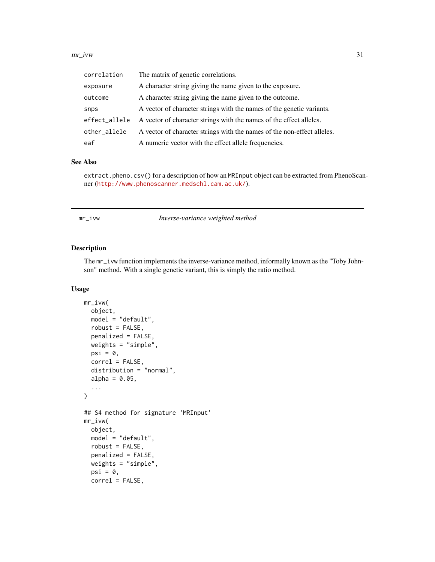#### <span id="page-30-0"></span> $\text{mr\_ivw}$  31

| correlation   | The matrix of genetic correlations.                                     |
|---------------|-------------------------------------------------------------------------|
| exposure      | A character string giving the name given to the exposure.               |
| outcome       | A character string giving the name given to the outcome.                |
| snps          | A vector of character strings with the names of the genetic variants.   |
| effect_allele | A vector of character strings with the names of the effect alleles.     |
| other_allele  | A vector of character strings with the names of the non-effect alleles. |
| eaf           | A numeric vector with the effect allele frequencies.                    |

# See Also

extract.pheno.csv() for a description of how an MRInput object can be extracted from PhenoScanner (<http://www.phenoscanner.medschl.cam.ac.uk/>).

mr\_ivw *Inverse-variance weighted method*

# Description

The mr\_ivw function implements the inverse-variance method, informally known as the "Toby Johnson" method. With a single genetic variant, this is simply the ratio method.

# Usage

```
mr_ivw(
  object,
 model = "default",
  robust = FALSE,penalized = FALSE,
  weights = "simple",
 psi = \theta,
  correl = FALSE,distribution = "normal",
  alpha = 0.05,
  ...
)
## S4 method for signature 'MRInput'
mr_ivw(
 object,
 model = "default",
  robust = FALSE,penalized = FALSE,
 weights = "simple",
  psi = \theta,
  correl = FALSE,
```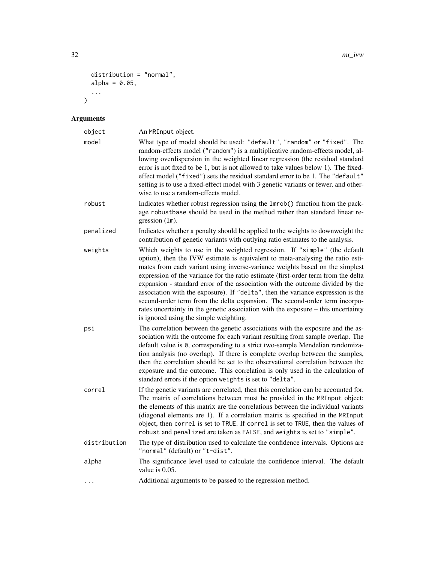```
distribution = "normal",
  alpha = 0.05,
  ...
\lambda
```

| object       | An MRInput object.                                                                                                                                                                                                                                                                                                                                                                                                                                                                                                                                                                                                                                                                                                 |
|--------------|--------------------------------------------------------------------------------------------------------------------------------------------------------------------------------------------------------------------------------------------------------------------------------------------------------------------------------------------------------------------------------------------------------------------------------------------------------------------------------------------------------------------------------------------------------------------------------------------------------------------------------------------------------------------------------------------------------------------|
| model        | What type of model should be used: "default", "random" or "fixed". The<br>random-effects model ("random") is a multiplicative random-effects model, al-<br>lowing overdispersion in the weighted linear regression (the residual standard<br>error is not fixed to be 1, but is not allowed to take values below 1). The fixed-<br>effect model ("fixed") sets the residual standard error to be 1. The "default"<br>setting is to use a fixed-effect model with 3 genetic variants or fewer, and other-<br>wise to use a random-effects model.                                                                                                                                                                    |
| robust       | Indicates whether robust regression using the 1mrob() function from the pack-<br>age robustbase should be used in the method rather than standard linear re-<br>gression $(lm)$ .                                                                                                                                                                                                                                                                                                                                                                                                                                                                                                                                  |
| penalized    | Indicates whether a penalty should be applied to the weights to downweight the<br>contribution of genetic variants with outlying ratio estimates to the analysis.                                                                                                                                                                                                                                                                                                                                                                                                                                                                                                                                                  |
| weights      | Which weights to use in the weighted regression. If "simple" (the default<br>option), then the IVW estimate is equivalent to meta-analysing the ratio esti-<br>mates from each variant using inverse-variance weights based on the simplest<br>expression of the variance for the ratio estimate (first-order term from the delta<br>expansion - standard error of the association with the outcome divided by the<br>association with the exposure). If "delta", then the variance expression is the<br>second-order term from the delta expansion. The second-order term incorpo-<br>rates uncertainty in the genetic association with the exposure – this uncertainty<br>is ignored using the simple weighting. |
| psi          | The correlation between the genetic associations with the exposure and the as-<br>sociation with the outcome for each variant resulting from sample overlap. The<br>default value is 0, corresponding to a strict two-sample Mendelian randomiza-<br>tion analysis (no overlap). If there is complete overlap between the samples,<br>then the correlation should be set to the observational correlation between the<br>exposure and the outcome. This correlation is only used in the calculation of<br>standard errors if the option weights is set to "delta".                                                                                                                                                 |
| correl       | If the genetic variants are correlated, then this correlation can be accounted for.<br>The matrix of correlations between must be provided in the MRInput object:<br>the elements of this matrix are the correlations between the individual variants<br>(diagonal elements are 1). If a correlation matrix is specified in the MRInput<br>object, then correl is set to TRUE. If correl is set to TRUE, then the values of<br>robust and penalized are taken as FALSE, and weights is set to "simple".                                                                                                                                                                                                            |
| distribution | The type of distribution used to calculate the confidence intervals. Options are<br>"normal" (default) or "t-dist".                                                                                                                                                                                                                                                                                                                                                                                                                                                                                                                                                                                                |
| alpha        | The significance level used to calculate the confidence interval. The default<br>value is $0.05$ .                                                                                                                                                                                                                                                                                                                                                                                                                                                                                                                                                                                                                 |
|              | Additional arguments to be passed to the regression method.                                                                                                                                                                                                                                                                                                                                                                                                                                                                                                                                                                                                                                                        |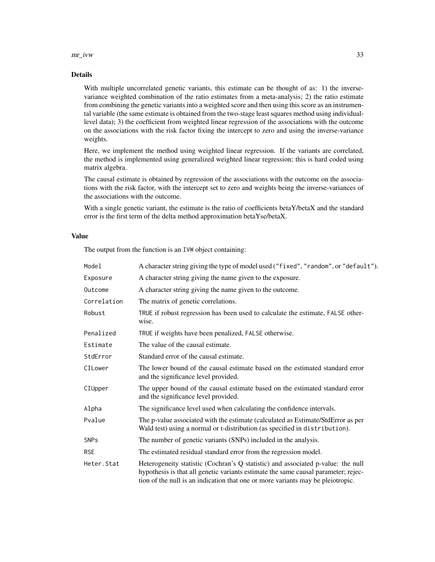#### $\text{mr\_ivw}$  33

# Details

With multiple uncorrelated genetic variants, this estimate can be thought of as: 1) the inversevariance weighted combination of the ratio estimates from a meta-analysis; 2) the ratio estimate from combining the genetic variants into a weighted score and then using this score as an instrumental variable (the same estimate is obtained from the two-stage least squares method using individuallevel data); 3) the coefficient from weighted linear regression of the associations with the outcome on the associations with the risk factor fixing the intercept to zero and using the inverse-variance weights.

Here, we implement the method using weighted linear regression. If the variants are correlated, the method is implemented using generalized weighted linear regression; this is hard coded using matrix algebra.

The causal estimate is obtained by regression of the associations with the outcome on the associations with the risk factor, with the intercept set to zero and weights being the inverse-variances of the associations with the outcome.

With a single genetic variant, the estimate is the ratio of coefficients betaY/betaX and the standard error is the first term of the delta method approximation betaYse/betaX.

# Value

The output from the function is an IVW object containing:

| Model       | A character string giving the type of model used ("fixed", "random", or "default").                                                                                                                                                                       |
|-------------|-----------------------------------------------------------------------------------------------------------------------------------------------------------------------------------------------------------------------------------------------------------|
| Exposure    | A character string giving the name given to the exposure.                                                                                                                                                                                                 |
| Outcome     | A character string giving the name given to the outcome.                                                                                                                                                                                                  |
| Correlation | The matrix of genetic correlations.                                                                                                                                                                                                                       |
| Robust      | TRUE if robust regression has been used to calculate the estimate, FALSE other-<br>wise.                                                                                                                                                                  |
| Penalized   | TRUE if weights have been penalized, FALSE otherwise.                                                                                                                                                                                                     |
| Estimate    | The value of the causal estimate.                                                                                                                                                                                                                         |
| StdError    | Standard error of the causal estimate.                                                                                                                                                                                                                    |
| CILower     | The lower bound of the causal estimate based on the estimated standard error<br>and the significance level provided.                                                                                                                                      |
| CIUpper     | The upper bound of the causal estimate based on the estimated standard error<br>and the significance level provided.                                                                                                                                      |
| Alpha       | The significance level used when calculating the confidence intervals.                                                                                                                                                                                    |
| Pvalue      | The p-value associated with the estimate (calculated as Estimate/StdError as per<br>Wald test) using a normal or t-distribution (as specified in distribution).                                                                                           |
| <b>SNPs</b> | The number of genetic variants (SNPs) included in the analysis.                                                                                                                                                                                           |
| <b>RSE</b>  | The estimated residual standard error from the regression model.                                                                                                                                                                                          |
| Heter. Stat | Heterogeneity statistic (Cochran's Q statistic) and associated p-value: the null<br>hypothesis is that all genetic variants estimate the same causal parameter; rejec-<br>tion of the null is an indication that one or more variants may be pleiotropic. |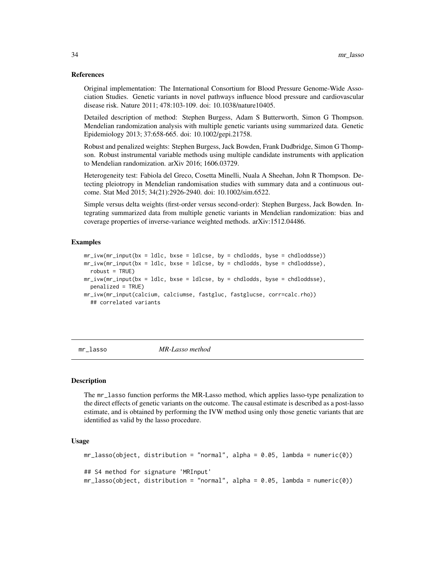#### <span id="page-33-0"></span>References

Original implementation: The International Consortium for Blood Pressure Genome-Wide Association Studies. Genetic variants in novel pathways influence blood pressure and cardiovascular disease risk. Nature 2011; 478:103-109. doi: 10.1038/nature10405.

Detailed description of method: Stephen Burgess, Adam S Butterworth, Simon G Thompson. Mendelian randomization analysis with multiple genetic variants using summarized data. Genetic Epidemiology 2013; 37:658-665. doi: 10.1002/gepi.21758.

Robust and penalized weights: Stephen Burgess, Jack Bowden, Frank Dudbridge, Simon G Thompson. Robust instrumental variable methods using multiple candidate instruments with application to Mendelian randomization. arXiv 2016; 1606.03729.

Heterogeneity test: Fabiola del Greco, Cosetta Minelli, Nuala A Sheehan, John R Thompson. Detecting pleiotropy in Mendelian randomisation studies with summary data and a continuous outcome. Stat Med 2015; 34(21):2926-2940. doi: 10.1002/sim.6522.

Simple versus delta weights (first-order versus second-order): Stephen Burgess, Jack Bowden. Integrating summarized data from multiple genetic variants in Mendelian randomization: bias and coverage properties of inverse-variance weighted methods. arXiv:1512.04486.

#### Examples

```
mr\_ivw(mr\_input(bx = ldlc, bxse = ldlcse, by = chdlodds, byse = chdloddsse))mr\_ivw(mr\_input(bx = ldlc, bxse = ldlcse, by = chdlodds, byse = chdloddsse),robust = TRUE)
mr\_ivw(mr\_input(bx = ldlc, bxse = ldlcse, by = chdlodds, byse = chdloddsse),penalized = TRUE)
mr_ivw(mr_input(calcium, calciumse, fastgluc, fastglucse, corr=calc.rho))
  ## correlated variants
```
mr\_lasso *MR-Lasso method*

# **Description**

The mr\_lasso function performs the MR-Lasso method, which applies lasso-type penalization to the direct effects of genetic variants on the outcome. The causal estimate is described as a post-lasso estimate, and is obtained by performing the IVW method using only those genetic variants that are identified as valid by the lasso procedure.

# Usage

```
mr_l asso(object, distribution = "normal", alpha = 0.05, lambda = numeric(0))
## S4 method for signature 'MRInput'
mr_llasso(object, distribution = "normal", alpha = 0.05, lambda = numeric(0))
```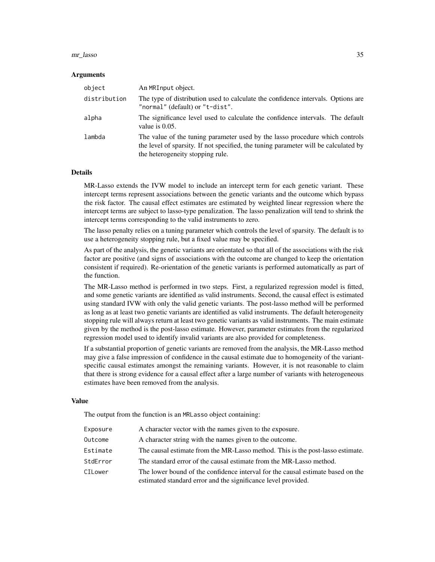#### mr\_lasso 35

#### Arguments

| object       | An MRInput object.                                                                                                                                                                                      |
|--------------|---------------------------------------------------------------------------------------------------------------------------------------------------------------------------------------------------------|
| distribution | The type of distribution used to calculate the confidence intervals. Options are<br>"normal" (default) or "t-dist".                                                                                     |
| alpha        | The significance level used to calculate the confidence intervals. The default<br>value is $0.05$ .                                                                                                     |
| lambda       | The value of the tuning parameter used by the lasso procedure which controls<br>the level of sparsity. If not specified, the tuning parameter will be calculated by<br>the heterogeneity stopping rule. |

# Details

MR-Lasso extends the IVW model to include an intercept term for each genetic variant. These intercept terms represent associations between the genetic variants and the outcome which bypass the risk factor. The causal effect estimates are estimated by weighted linear regression where the intercept terms are subject to lasso-type penalization. The lasso penalization will tend to shrink the intercept terms corresponding to the valid instruments to zero.

The lasso penalty relies on a tuning parameter which controls the level of sparsity. The default is to use a heterogeneity stopping rule, but a fixed value may be specified.

As part of the analysis, the genetic variants are orientated so that all of the associations with the risk factor are positive (and signs of associations with the outcome are changed to keep the orientation consistent if required). Re-orientation of the genetic variants is performed automatically as part of the function.

The MR-Lasso method is performed in two steps. First, a regularized regression model is fitted, and some genetic variants are identified as valid instruments. Second, the causal effect is estimated using standard IVW with only the valid genetic variants. The post-lasso method will be performed as long as at least two genetic variants are identified as valid instruments. The default heterogeneity stopping rule will always return at least two genetic variants as valid instruments. The main estimate given by the method is the post-lasso estimate. However, parameter estimates from the regularized regression model used to identify invalid variants are also provided for completeness.

If a substantial proportion of genetic variants are removed from the analysis, the MR-Lasso method may give a false impression of confidence in the causal estimate due to homogeneity of the variantspecific causal estimates amongst the remaining variants. However, it is not reasonable to claim that there is strong evidence for a causal effect after a large number of variants with heterogeneous estimates have been removed from the analysis.

#### Value

The output from the function is an MRLasso object containing:

| Exposure | A character vector with the names given to the exposure.                                                                                         |
|----------|--------------------------------------------------------------------------------------------------------------------------------------------------|
| Outcome  | A character string with the names given to the outcome.                                                                                          |
| Estimate | The causal estimate from the MR-Lasso method. This is the post-lasso estimate.                                                                   |
| StdError | The standard error of the causal estimate from the MR-Lasso method.                                                                              |
| CILower  | The lower bound of the confidence interval for the causal estimate based on the<br>estimated standard error and the significance level provided. |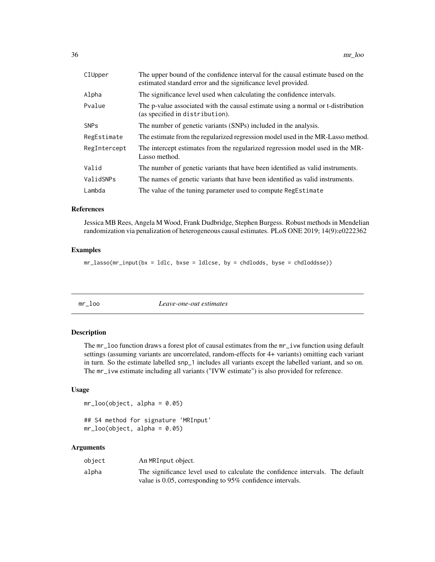<span id="page-35-0"></span>

| CIUpper                | The upper bound of the confidence interval for the causal estimate based on the<br>estimated standard error and the significance level provided. |
|------------------------|--------------------------------------------------------------------------------------------------------------------------------------------------|
| Alpha                  | The significance level used when calculating the confidence intervals.                                                                           |
| Pvalue                 | The p-value associated with the causal estimate using a normal or t-distribution<br>(as specified in distribution).                              |
| <b>SNP<sub>s</sub></b> | The number of genetic variants (SNPs) included in the analysis.                                                                                  |
| RegEstimate            | The estimate from the regularized regression model used in the MR-Lasso method.                                                                  |
| RegIntercept           | The intercept estimates from the regularized regression model used in the MR-<br>Lasso method.                                                   |
| Valid                  | The number of genetic variants that have been identified as valid instruments.                                                                   |
| ValidSNPs              | The names of genetic variants that have been identified as valid instruments.                                                                    |
| Lambda                 | The value of the tuning parameter used to compute RegEstimate                                                                                    |

#### References

Jessica MB Rees, Angela M Wood, Frank Dudbridge, Stephen Burgess. Robust methods in Mendelian randomization via penalization of heterogeneous causal estimates. PLoS ONE 2019; 14(9):e0222362

# Examples

mr\_lasso(mr\_input(bx = ldlc, bxse = ldlcse, by = chdlodds, byse = chdloddsse))

mr\_loo *Leave-one-out estimates*

# Description

The mr\_loo function draws a forest plot of causal estimates from the mr\_ivw function using default settings (assuming variants are uncorrelated, random-effects for 4+ variants) omitting each variant in turn. So the estimate labelled snp\_1 includes all variants except the labelled variant, and so on. The mr\_ivw estimate including all variants ("IVW estimate") is also provided for reference.

# Usage

 $mr\_loo(object, alpha = 0.05)$ 

## S4 method for signature 'MRInput'  $mr\_loo(object, alpha = 0.05)$ 

| object | An MRInput object.                                                             |  |
|--------|--------------------------------------------------------------------------------|--|
| alpha  | The significance level used to calculate the confidence intervals. The default |  |
|        | value is 0.05, corresponding to 95% confidence intervals.                      |  |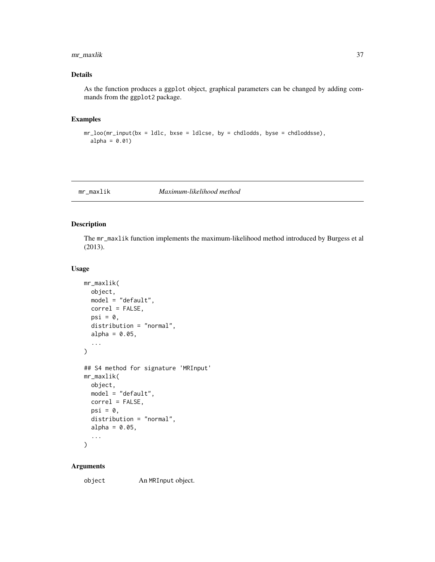# <span id="page-36-0"></span>mr\_maxlik 37

# Details

As the function produces a ggplot object, graphical parameters can be changed by adding commands from the ggplot2 package.

#### Examples

```
mr_loo(mr_input(bx = ldlc, bxse = ldlcse, by = chdlodds, byse = chdloddsse),
  alpha = 0.01)
```
mr\_maxlik *Maximum-likelihood method*

#### Description

The mr\_maxlik function implements the maximum-likelihood method introduced by Burgess et al (2013).

# Usage

```
mr_maxlik(
  object,
  model = "default",
  correl = FALSE,
  psi = \theta,
  distribution = "normal",
  alpha = 0.05,
  ...
\mathcal{L}## S4 method for signature 'MRInput'
mr_maxlik(
  object,
  model = "default",
  correl = FALSE,
  psi = \theta,
  distribution = "normal",
  alpha = 0.05,
  ...
\mathcal{L}
```
#### Arguments

object An MRInput object.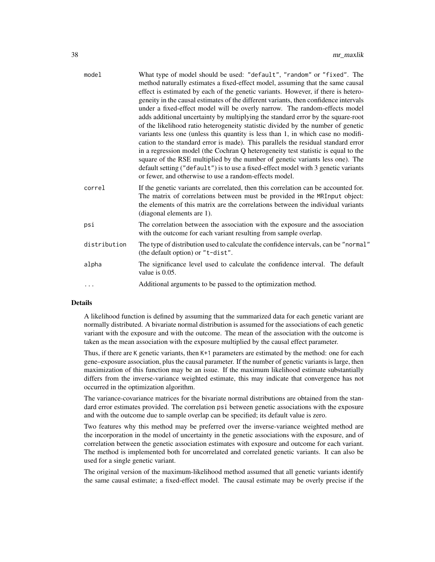| mode1        | What type of model should be used: "default", "random" or "fixed". The<br>method naturally estimates a fixed-effect model, assuming that the same causal<br>effect is estimated by each of the genetic variants. However, if there is hetero-<br>geneity in the causal estimates of the different variants, then confidence intervals<br>under a fixed-effect model will be overly narrow. The random-effects model<br>adds additional uncertainty by multiplying the standard error by the square-root<br>of the likelihood ratio heterogeneity statistic divided by the number of genetic<br>variants less one (unless this quantity is less than 1, in which case no modifi-<br>cation to the standard error is made). This parallels the residual standard error<br>in a regression model (the Cochran Q heterogeneity test statistic is equal to the<br>square of the RSE multiplied by the number of genetic variants less one). The<br>default setting ("default") is to use a fixed-effect model with 3 genetic variants<br>or fewer, and otherwise to use a random-effects model. |
|--------------|--------------------------------------------------------------------------------------------------------------------------------------------------------------------------------------------------------------------------------------------------------------------------------------------------------------------------------------------------------------------------------------------------------------------------------------------------------------------------------------------------------------------------------------------------------------------------------------------------------------------------------------------------------------------------------------------------------------------------------------------------------------------------------------------------------------------------------------------------------------------------------------------------------------------------------------------------------------------------------------------------------------------------------------------------------------------------------------------|
| correl       | If the genetic variants are correlated, then this correlation can be accounted for.<br>The matrix of correlations between must be provided in the MRInput object:<br>the elements of this matrix are the correlations between the individual variants<br>(diagonal elements are 1).                                                                                                                                                                                                                                                                                                                                                                                                                                                                                                                                                                                                                                                                                                                                                                                                        |
| psi          | The correlation between the association with the exposure and the association<br>with the outcome for each variant resulting from sample overlap.                                                                                                                                                                                                                                                                                                                                                                                                                                                                                                                                                                                                                                                                                                                                                                                                                                                                                                                                          |
| distribution | The type of distribution used to calculate the confidence intervals, can be "normal"<br>(the default option) or "t-dist".                                                                                                                                                                                                                                                                                                                                                                                                                                                                                                                                                                                                                                                                                                                                                                                                                                                                                                                                                                  |
| alpha        | The significance level used to calculate the confidence interval. The default<br>value is 0.05.                                                                                                                                                                                                                                                                                                                                                                                                                                                                                                                                                                                                                                                                                                                                                                                                                                                                                                                                                                                            |
| .            | Additional arguments to be passed to the optimization method.                                                                                                                                                                                                                                                                                                                                                                                                                                                                                                                                                                                                                                                                                                                                                                                                                                                                                                                                                                                                                              |

#### Details

A likelihood function is defined by assuming that the summarized data for each genetic variant are normally distributed. A bivariate normal distribution is assumed for the associations of each genetic variant with the exposure and with the outcome. The mean of the association with the outcome is taken as the mean association with the exposure multiplied by the causal effect parameter.

Thus, if there are K genetic variants, then K+1 parameters are estimated by the method: one for each gene–exposure association, plus the causal parameter. If the number of genetic variants is large, then maximization of this function may be an issue. If the maximum likelihood estimate substantially differs from the inverse-variance weighted estimate, this may indicate that convergence has not occurred in the optimization algorithm.

The variance-covariance matrices for the bivariate normal distributions are obtained from the standard error estimates provided. The correlation psi between genetic associations with the exposure and with the outcome due to sample overlap can be specified; its default value is zero.

Two features why this method may be preferred over the inverse-variance weighted method are the incorporation in the model of uncertainty in the genetic associations with the exposure, and of correlation between the genetic association estimates with exposure and outcome for each variant. The method is implemented both for uncorrelated and correlated genetic variants. It can also be used for a single genetic variant.

The original version of the maximum-likelihood method assumed that all genetic variants identify the same causal estimate; a fixed-effect model. The causal estimate may be overly precise if the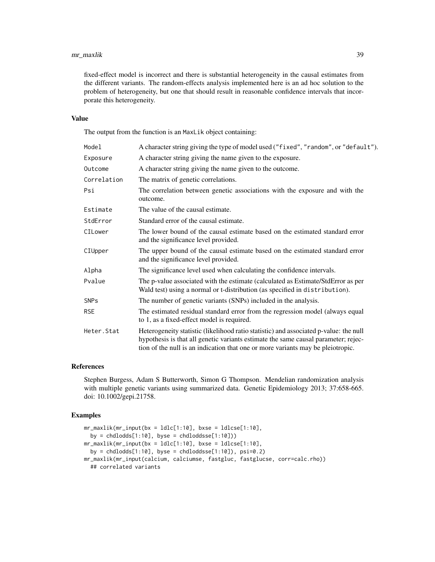# mr\_maxlik 39

fixed-effect model is incorrect and there is substantial heterogeneity in the causal estimates from the different variants. The random-effects analysis implemented here is an ad hoc solution to the problem of heterogeneity, but one that should result in reasonable confidence intervals that incorporate this heterogeneity.

# Value

The output from the function is an MaxLik object containing:

| Model                  | A character string giving the type of model used ("fixed", "random", or "default").                                                                                                                                                                            |
|------------------------|----------------------------------------------------------------------------------------------------------------------------------------------------------------------------------------------------------------------------------------------------------------|
| Exposure               | A character string giving the name given to the exposure.                                                                                                                                                                                                      |
| Outcome                | A character string giving the name given to the outcome.                                                                                                                                                                                                       |
| Correlation            | The matrix of genetic correlations.                                                                                                                                                                                                                            |
| Psi                    | The correlation between genetic associations with the exposure and with the<br>outcome.                                                                                                                                                                        |
| Estimate               | The value of the causal estimate.                                                                                                                                                                                                                              |
| StdError               | Standard error of the causal estimate.                                                                                                                                                                                                                         |
| CILower                | The lower bound of the causal estimate based on the estimated standard error<br>and the significance level provided.                                                                                                                                           |
| CIUpper                | The upper bound of the causal estimate based on the estimated standard error<br>and the significance level provided.                                                                                                                                           |
| Alpha                  | The significance level used when calculating the confidence intervals.                                                                                                                                                                                         |
| Pvalue                 | The p-value associated with the estimate (calculated as Estimate/StdError as per<br>Wald test) using a normal or t-distribution (as specified in distribution).                                                                                                |
| <b>SNP<sub>s</sub></b> | The number of genetic variants (SNPs) included in the analysis.                                                                                                                                                                                                |
| <b>RSE</b>             | The estimated residual standard error from the regression model (always equal<br>to 1, as a fixed-effect model is required.                                                                                                                                    |
| Heter. Stat            | Heterogeneity statistic (likelihood ratio statistic) and associated p-value: the null<br>hypothesis is that all genetic variants estimate the same causal parameter; rejec-<br>tion of the null is an indication that one or more variants may be pleiotropic. |

# References

Stephen Burgess, Adam S Butterworth, Simon G Thompson. Mendelian randomization analysis with multiple genetic variants using summarized data. Genetic Epidemiology 2013; 37:658-665. doi: 10.1002/gepi.21758.

# Examples

```
mr\_maxlik(mr\_input(bx = ldlc[1:10], bxse = ldlcse[1:10],by = chdlodds[1:10], byse = chdloddsse[1:10])mr_maxlik(m_r_input(bx = ldlc[1:10], bxse = ldlcse[1:10],by = chdlodds[1:10], byse = chdloddsse[1:10]), psi=0.2)mr_maxlik(mr_input(calcium, calciumse, fastgluc, fastglucse, corr=calc.rho))
  ## correlated variants
```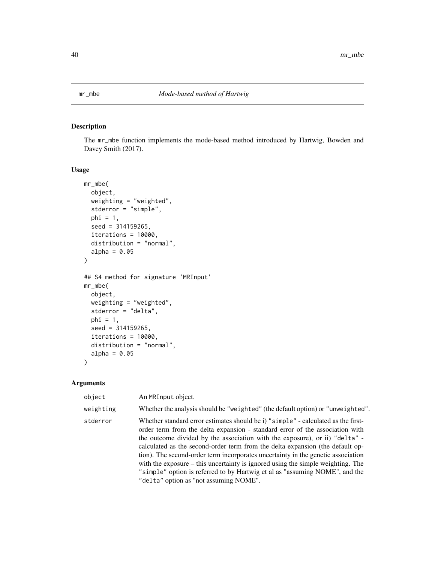<span id="page-39-0"></span>

# Description

The mr\_mbe function implements the mode-based method introduced by Hartwig, Bowden and Davey Smith (2017).

# Usage

```
mr_mbe(
  object,
  weighting = "weighted",
  stderror = "simple",
  phi = 1,
  seed = 314159265,
  iterations = 10000,
  distribution = "normal",
  alpha = 0.05)
## S4 method for signature 'MRInput'
mr_mbe(
  object,
  weighting = "weighted",
  stderror = "delta",
  phi = 1,
  seed = 314159265,
  iterations = 10000,
  distribution = "normal",
  alpha = 0.05)
```

| object    | An MRInput object.                                                                                                                                                                                                                                                                                                                                                                                                                                                                                                                                                                                                                |
|-----------|-----------------------------------------------------------------------------------------------------------------------------------------------------------------------------------------------------------------------------------------------------------------------------------------------------------------------------------------------------------------------------------------------------------------------------------------------------------------------------------------------------------------------------------------------------------------------------------------------------------------------------------|
| weighting | Whether the analysis should be "weighted" (the default option) or "unweighted".                                                                                                                                                                                                                                                                                                                                                                                                                                                                                                                                                   |
| stderror  | Whether standard error estimates should be i) "simple" - calculated as the first-<br>order term from the delta expansion - standard error of the association with<br>the outcome divided by the association with the exposure), or ii) "delta" -<br>calculated as the second-order term from the delta expansion (the default op-<br>tion). The second-order term incorporates uncertainty in the genetic association<br>with the exposure – this uncertainty is ignored using the simple weighting. The<br>"simple" option is referred to by Hartwig et al as "assuming NOME", and the<br>"delta" option as "not assuming NOME". |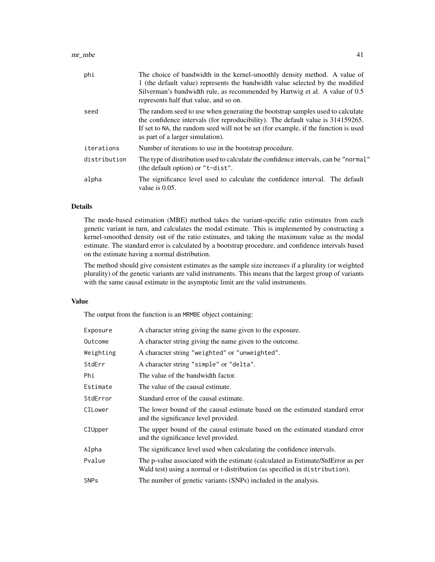#### mr\_mbe 41

| phi          | The choice of bandwidth in the kernel-smoothly density method. A value of<br>1 (the default value) represents the bandwidth value selected by the modified<br>Silverman's bandwidth rule, as recommended by Hartwig et al. A value of 0.5<br>represents half that value, and so on.          |
|--------------|----------------------------------------------------------------------------------------------------------------------------------------------------------------------------------------------------------------------------------------------------------------------------------------------|
| seed         | The random seed to use when generating the bootstrap samples used to calculate<br>the confidence intervals (for reproducibility). The default value is 314159265.<br>If set to NA, the random seed will not be set (for example, if the function is used<br>as part of a larger simulation). |
| iterations   | Number of iterations to use in the bootstrap procedure.                                                                                                                                                                                                                                      |
| distribution | The type of distribution used to calculate the confidence intervals, can be "normal"<br>(the default option) or "t-dist".                                                                                                                                                                    |
| alpha        | The significance level used to calculate the confidence interval. The default<br>value is $0.05$ .                                                                                                                                                                                           |

# Details

The mode-based estimation (MBE) method takes the variant-specific ratio estimates from each genetic variant in turn, and calculates the modal estimate. This is implemented by constructing a kernel-smoothed density out of the ratio estimates, and taking the maximum value as the modal estimate. The standard error is calculated by a bootstrap procedure, and confidence intervals based on the estimate having a normal distribution.

The method should give consistent estimates as the sample size increases if a plurality (or weighted plurality) of the genetic variants are valid instruments. This means that the largest group of variants with the same causal estimate in the asymptotic limit are the valid instruments.

## Value

The output from the function is an MRMBE object containing:

| Exposure    | A character string giving the name given to the exposure.                                                                                                       |
|-------------|-----------------------------------------------------------------------------------------------------------------------------------------------------------------|
| Outcome     | A character string giving the name given to the outcome.                                                                                                        |
| Weighting   | A character string "weighted" or "unweighted".                                                                                                                  |
| StdErr      | A character string "simple" or "delta".                                                                                                                         |
| Phi         | The value of the bandwidth factor.                                                                                                                              |
| Estimate    | The value of the causal estimate.                                                                                                                               |
| StdError    | Standard error of the causal estimate.                                                                                                                          |
| CILower     | The lower bound of the causal estimate based on the estimated standard error<br>and the significance level provided.                                            |
| CIUpper     | The upper bound of the causal estimate based on the estimated standard error<br>and the significance level provided.                                            |
| Alpha       | The significance level used when calculating the confidence intervals.                                                                                          |
| Pvalue      | The p-value associated with the estimate (calculated as Estimate/StdError as per<br>Wald test) using a normal or t-distribution (as specified in distribution). |
| <b>SNPs</b> | The number of genetic variants (SNPs) included in the analysis.                                                                                                 |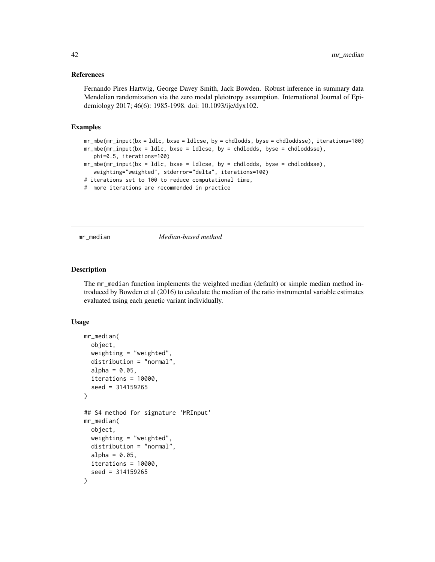#### <span id="page-41-0"></span>References

Fernando Pires Hartwig, George Davey Smith, Jack Bowden. Robust inference in summary data Mendelian randomization via the zero modal pleiotropy assumption. International Journal of Epidemiology 2017; 46(6): 1985-1998. doi: 10.1093/ije/dyx102.

# Examples

```
mr_mbe(mr_input(bx = ldlc, bxse = ldlcse, by = chdlodds, byse = chdloddsse), iterations=100)
mr_mbe(mr_input(bx = ldlc, bxse = ldlcse, by = chdlodds, byse = chdloddsse),
   phi=0.5, iterations=100)
mr_mbe(mr\_input(bx = 1d1c, bxse = 1d1cse, by = chdlodds, byse = chdloddsse),weighting="weighted", stderror="delta", iterations=100)
# iterations set to 100 to reduce computational time,
# more iterations are recommended in practice
```
mr\_median *Median-based method*

## Description

The mr\_median function implements the weighted median (default) or simple median method introduced by Bowden et al (2016) to calculate the median of the ratio instrumental variable estimates evaluated using each genetic variant individually.

#### Usage

```
mr_median(
  object,
  weighting = "weighted",
  distribution = "normal",
  alpha = 0.05,
  iterations = 10000,
  seed = 314159265
)
## S4 method for signature 'MRInput'
mr_median(
  object,
  weighting = "weighted",
  distribution = "normal",
  alpha = 0.05,
  iterations = 10000,
  seed = 314159265
)
```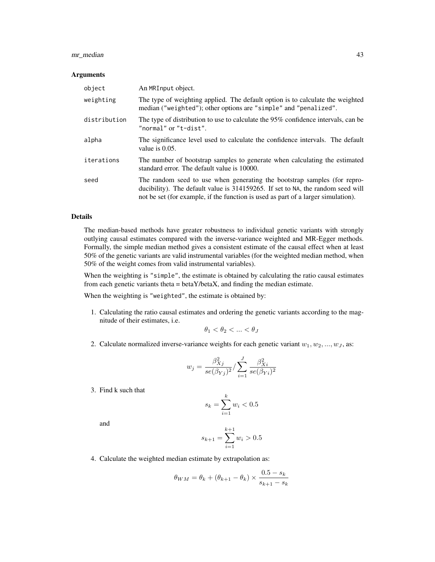# mr\_median 43

#### **Arguments**

| object       | An MRInput object.                                                                                                                                                                                                                               |
|--------------|--------------------------------------------------------------------------------------------------------------------------------------------------------------------------------------------------------------------------------------------------|
| weighting    | The type of weighting applied. The default option is to calculate the weighted<br>median ("weighted"); other options are "simple" and "penalized".                                                                                               |
| distribution | The type of distribution to use to calculate the $95\%$ confidence intervals, can be<br>"normal" or "t-dist".                                                                                                                                    |
| alpha        | The significance level used to calculate the confidence intervals. The default<br>value is $0.05$ .                                                                                                                                              |
| iterations   | The number of bootstrap samples to generate when calculating the estimated<br>standard error. The default value is 10000.                                                                                                                        |
| seed         | The random seed to use when generating the bootstrap samples (for repro-<br>ducibility). The default value is 314159265. If set to NA, the random seed will<br>not be set (for example, if the function is used as part of a larger simulation). |

# Details

The median-based methods have greater robustness to individual genetic variants with strongly outlying causal estimates compared with the inverse-variance weighted and MR-Egger methods. Formally, the simple median method gives a consistent estimate of the causal effect when at least 50% of the genetic variants are valid instrumental variables (for the weighted median method, when 50% of the weight comes from valid instrumental variables).

When the weighting is "simple", the estimate is obtained by calculating the ratio causal estimates from each genetic variants theta = betaY/betaX, and finding the median estimate.

When the weighting is "weighted", the estimate is obtained by:

1. Calculating the ratio causal estimates and ordering the genetic variants according to the magnitude of their estimates, i.e.

$$
\theta_1<\theta_2<\ldots<\theta_J
$$

2. Calculate normalized inverse-variance weights for each genetic variant  $w_1, w_2, ..., w_J$ , as:

$$
w_j = \frac{\beta_{Xj}^2}{se(\beta_{Yj})^2} / \sum_{i=1}^{J} \frac{\beta_{Xi}^2}{se(\beta_{Yi})^2}
$$

3. Find k such that

$$
s_k = \sum_{i=1}^k w_i < 0.5
$$

and

$$
s_{k+1} = \sum_{i=1}^{k+1} w_i > 0.5
$$

4. Calculate the weighted median estimate by extrapolation as:

$$
\theta_{WM} = \theta_k + (\theta_{k+1} - \theta_k) \times \frac{0.5 - s_k}{s_{k+1} - s_k}
$$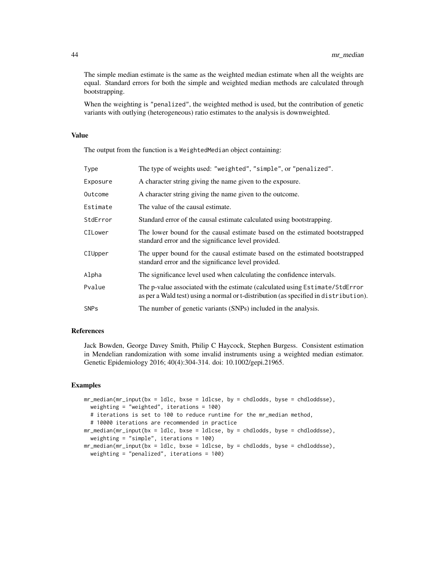The simple median estimate is the same as the weighted median estimate when all the weights are equal. Standard errors for both the simple and weighted median methods are calculated through bootstrapping.

When the weighting is "penalized", the weighted method is used, but the contribution of genetic variants with outlying (heterogeneous) ratio estimates to the analysis is downweighted.

## Value

The output from the function is a WeightedMedian object containing:

| Type        | The type of weights used: "weighted", "simple", or "penalized".                                                                                                      |
|-------------|----------------------------------------------------------------------------------------------------------------------------------------------------------------------|
| Exposure    | A character string giving the name given to the exposure.                                                                                                            |
| Outcome     | A character string giving the name given to the outcome.                                                                                                             |
| Estimate    | The value of the causal estimate.                                                                                                                                    |
| StdError    | Standard error of the causal estimate calculated using bootstrapping.                                                                                                |
| CILower     | The lower bound for the causal estimate based on the estimated bootstrapped<br>standard error and the significance level provided.                                   |
| CIUpper     | The upper bound for the causal estimate based on the estimated bootstrapped<br>standard error and the significance level provided.                                   |
| Alpha       | The significance level used when calculating the confidence intervals.                                                                                               |
| Pvalue      | The p-value associated with the estimate (calculated using Estimate/StdError<br>as per a Wald test) using a normal or t-distribution (as specified in distribution). |
| <b>SNPs</b> | The number of genetic variants (SNPs) included in the analysis.                                                                                                      |

# References

Jack Bowden, George Davey Smith, Philip C Haycock, Stephen Burgess. Consistent estimation in Mendelian randomization with some invalid instruments using a weighted median estimator. Genetic Epidemiology 2016; 40(4):304-314. doi: 10.1002/gepi.21965.

# Examples

```
mr\_median(mr\_input(bx = 1dlc, bxse = 1dlcse, by = chdlodds, byse = chdloddsse),weighting = "weighted", iterations = 100)
  # iterations is set to 100 to reduce runtime for the mr_median method,
  # 10000 iterations are recommended in practice
mr\_median(mr\_input(bx = 1dlc, bxse = 1dlcse, by = chdlodds, byse = chdloddse),
  weighting = "simple", iterations = 100)
mr\_median(mr\_input(bx = 1dlc, bxse = 1dlcse, by = chdlodds, byse = chdloddsse),weighting = "penalized", iterations = 100)
```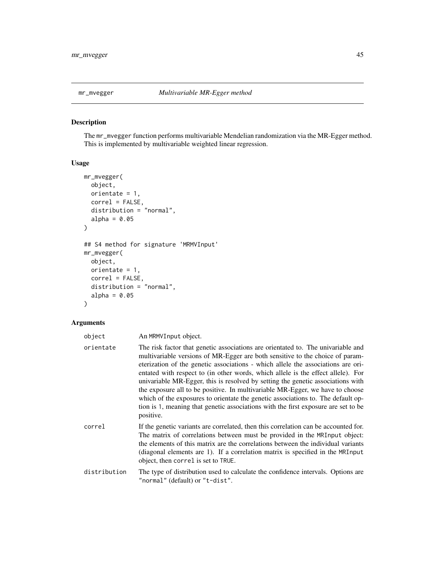<span id="page-44-0"></span>

# Description

The mr\_mvegger function performs multivariable Mendelian randomization via the MR-Egger method. This is implemented by multivariable weighted linear regression.

# Usage

```
mr_mvegger(
 object,
 orientate = 1,
 correl = FALSE,
  distribution = "normal",
  alpha = 0.05)
## S4 method for signature 'MRMVInput'
mr_mvegger(
 object,
 orientate = 1,
 correl = FALSE,
  distribution = "normal",
  alpha = 0.05)
```

| object       | An MRMVInput object.                                                                                                                                                                                                                                                                                                                                                                                                                                                                                                                                                                                                                                                                                 |
|--------------|------------------------------------------------------------------------------------------------------------------------------------------------------------------------------------------------------------------------------------------------------------------------------------------------------------------------------------------------------------------------------------------------------------------------------------------------------------------------------------------------------------------------------------------------------------------------------------------------------------------------------------------------------------------------------------------------------|
| orientate    | The risk factor that genetic associations are orientated to. The univariable and<br>multivariable versions of MR-Egger are both sensitive to the choice of param-<br>eterization of the genetic associations - which allele the associations are ori-<br>entated with respect to (in other words, which allele is the effect allele). For<br>univariable MR-Egger, this is resolved by setting the genetic associations with<br>the exposure all to be positive. In multivariable MR-Egger, we have to choose<br>which of the exposures to orientate the genetic associations to. The default op-<br>tion is 1, meaning that genetic associations with the first exposure are set to be<br>positive. |
| correl       | If the genetic variants are correlated, then this correlation can be accounted for.<br>The matrix of correlations between must be provided in the MRInput object:<br>the elements of this matrix are the correlations between the individual variants<br>(diagonal elements are 1). If a correlation matrix is specified in the MRInput<br>object, then correl is set to TRUE.                                                                                                                                                                                                                                                                                                                       |
| distribution | The type of distribution used to calculate the confidence intervals. Options are<br>"normal" (default) or "t-dist".                                                                                                                                                                                                                                                                                                                                                                                                                                                                                                                                                                                  |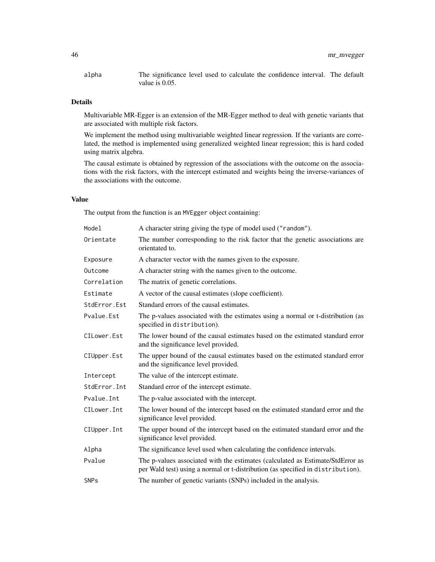alpha The significance level used to calculate the confidence interval. The default value is 0.05.

# Details

Multivariable MR-Egger is an extension of the MR-Egger method to deal with genetic variants that are associated with multiple risk factors.

We implement the method using multivariable weighted linear regression. If the variants are correlated, the method is implemented using generalized weighted linear regression; this is hard coded using matrix algebra.

The causal estimate is obtained by regression of the associations with the outcome on the associations with the risk factors, with the intercept estimated and weights being the inverse-variances of the associations with the outcome.

# Value

The output from the function is an MVEgger object containing:

| Model         | A character string giving the type of model used ("random").                                                                                                      |
|---------------|-------------------------------------------------------------------------------------------------------------------------------------------------------------------|
| Orientate     | The number corresponding to the risk factor that the genetic associations are<br>orientated to.                                                                   |
| Exposure      | A character vector with the names given to the exposure.                                                                                                          |
| Outcome       | A character string with the names given to the outcome.                                                                                                           |
| Correlation   | The matrix of genetic correlations.                                                                                                                               |
| Estimate      | A vector of the causal estimates (slope coefficient).                                                                                                             |
| StdError.Est  | Standard errors of the causal estimates.                                                                                                                          |
| Pvalue.Est    | The p-values associated with the estimates using a normal or t-distribution (as<br>specified in distribution).                                                    |
| CILower.Est   | The lower bound of the causal estimates based on the estimated standard error<br>and the significance level provided.                                             |
| CIUpper.Est   | The upper bound of the causal estimates based on the estimated standard error<br>and the significance level provided.                                             |
| Intercept     | The value of the intercept estimate.                                                                                                                              |
| StdError. Int | Standard error of the intercept estimate.                                                                                                                         |
| Pvalue. Int   | The p-value associated with the intercept.                                                                                                                        |
| CILower. Int  | The lower bound of the intercept based on the estimated standard error and the<br>significance level provided.                                                    |
| CIUpper. Int  | The upper bound of the intercept based on the estimated standard error and the<br>significance level provided.                                                    |
| Alpha         | The significance level used when calculating the confidence intervals.                                                                                            |
| Pvalue        | The p-values associated with the estimates (calculated as Estimate/StdError as<br>per Wald test) using a normal or t-distribution (as specified in distribution). |
| <b>SNPs</b>   | The number of genetic variants (SNPs) included in the analysis.                                                                                                   |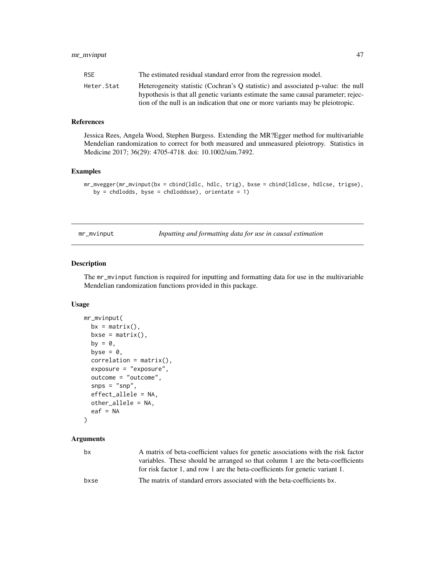# <span id="page-46-0"></span>mr\_mvinput 47

| <b>RSE</b> | The estimated residual standard error from the regression model.                                                                                                       |
|------------|------------------------------------------------------------------------------------------------------------------------------------------------------------------------|
| Heter.Stat | Heterogeneity statistic (Cochran's Q statistic) and associated p-value: the null<br>hypothesis is that all genetic variants estimate the same causal parameter; rejec- |
|            | tion of the null is an indication that one or more variants may be pleiotropic.                                                                                        |

# References

Jessica Rees, Angela Wood, Stephen Burgess. Extending the MR?Egger method for multivariable Mendelian randomization to correct for both measured and unmeasured pleiotropy. Statistics in Medicine 2017; 36(29): 4705-4718. doi: 10.1002/sim.7492.

# Examples

```
mr_mvegger(mr_mvinput(bx = cbind(ldlc, hdlc, trig), bxse = cbind(ldlcse, hdlcse, trigse),
   by = chdlodds, byse = chdloddsse), orientate = 1)
```
mr\_mvinput *Inputting and formatting data for use in causal estimation*

#### Description

The mr\_mvinput function is required for inputting and formatting data for use in the multivariable Mendelian randomization functions provided in this package.

# Usage

```
mr_mvinput(
  bx = matrix(),
 bxse = matrix(),
  by = \theta,
  byse = \theta,
  correlation = matrix(),exposure = "exposure",
  outcome = "outcome",
  snps = "snp",
  effect_allele = NA,
  other_allele = NA,
  eaf = NA
```

```
)
```

| bx   | A matrix of beta-coefficient values for genetic associations with the risk factor<br>variables. These should be arranged so that column 1 are the beta-coefficients |
|------|---------------------------------------------------------------------------------------------------------------------------------------------------------------------|
|      | for risk factor 1, and row 1 are the beta-coefficients for genetic variant 1.                                                                                       |
| bxse | The matrix of standard errors associated with the beta-coefficients bx.                                                                                             |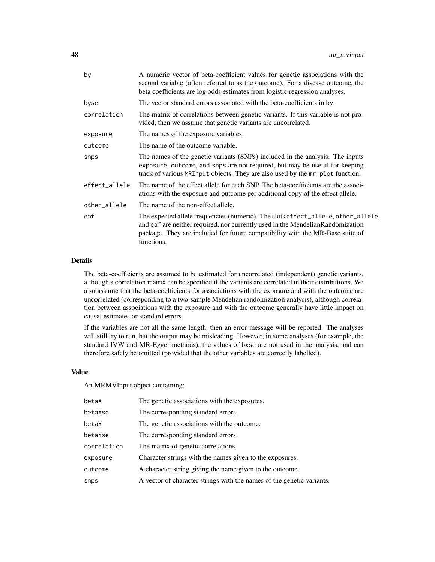| A numeric vector of beta-coefficient values for genetic associations with the<br>second variable (often referred to as the outcome). For a disease outcome, the<br>beta coefficients are log odds estimates from logistic regression analyses.                      |
|---------------------------------------------------------------------------------------------------------------------------------------------------------------------------------------------------------------------------------------------------------------------|
| The vector standard errors associated with the beta-coefficients in by.                                                                                                                                                                                             |
| The matrix of correlations between genetic variants. If this variable is not pro-<br>vided, then we assume that genetic variants are uncorrelated.                                                                                                                  |
| The names of the exposure variables.                                                                                                                                                                                                                                |
| The name of the outcome variable.                                                                                                                                                                                                                                   |
| The names of the genetic variants (SNPs) included in the analysis. The inputs<br>exposure, outcome, and snps are not required, but may be useful for keeping<br>track of various MRInput objects. They are also used by the mr_plot function.                       |
| The name of the effect allele for each SNP. The beta-coefficients are the associ-<br>ations with the exposure and outcome per additional copy of the effect allele.                                                                                                 |
| The name of the non-effect allele.                                                                                                                                                                                                                                  |
| The expected allele frequencies (numeric). The slots effect_allele, other_allele,<br>and eaf are neither required, nor currently used in the Mendelian Randomization<br>package. They are included for future compatibility with the MR-Base suite of<br>functions. |
|                                                                                                                                                                                                                                                                     |

#### Details

The beta-coefficients are assumed to be estimated for uncorrelated (independent) genetic variants, although a correlation matrix can be specified if the variants are correlated in their distributions. We also assume that the beta-coefficients for associations with the exposure and with the outcome are uncorrelated (corresponding to a two-sample Mendelian randomization analysis), although correlation between associations with the exposure and with the outcome generally have little impact on causal estimates or standard errors.

If the variables are not all the same length, then an error message will be reported. The analyses will still try to run, but the output may be misleading. However, in some analyses (for example, the standard IVW and MR-Egger methods), the values of bxse are not used in the analysis, and can therefore safely be omitted (provided that the other variables are correctly labelled).

## Value

An MRMVInput object containing:

| betaX       | The genetic associations with the exposures.                          |
|-------------|-----------------------------------------------------------------------|
| betaXse     | The corresponding standard errors.                                    |
| betaY       | The genetic associations with the outcome.                            |
| betaYse     | The corresponding standard errors.                                    |
| correlation | The matrix of genetic correlations.                                   |
| exposure    | Character strings with the names given to the exposures.              |
| outcome     | A character string giving the name given to the outcome.              |
| snps        | A vector of character strings with the names of the genetic variants. |
|             |                                                                       |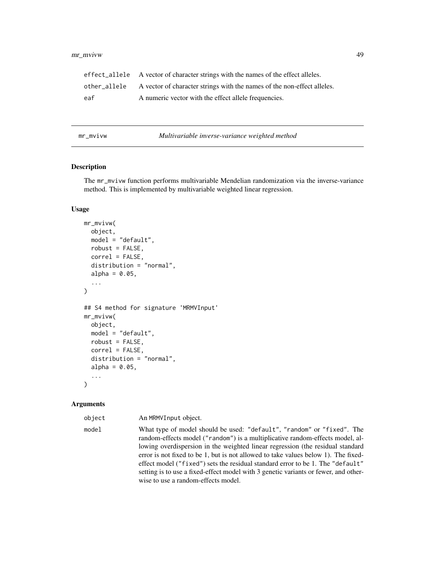# <span id="page-48-0"></span>mr\_mvivw 49

|     | effect allele A vector of character strings with the names of the effect alleles.    |
|-----|--------------------------------------------------------------------------------------|
|     | other allele A vector of character strings with the names of the non-effect alleles. |
| eaf | A numeric vector with the effect allele frequencies.                                 |

mr\_mvivw *Multivariable inverse-variance weighted method*

# Description

The mr\_mvivw function performs multivariable Mendelian randomization via the inverse-variance method. This is implemented by multivariable weighted linear regression.

# Usage

```
mr_mvivw(
  object,
  model = "default",
  robust = FALSE,correl = FALSE,
  distribution = "normal",
  alpha = 0.05,
  ...
)
## S4 method for signature 'MRMVInput'
mr_mvivw(
  object,
 model = "default",
  robust = FALSE,
  correl = FALSE,distribution = "normal",
  alpha = 0.05,
  ...
\mathcal{L}
```
#### Arguments

object An MRMVInput object.

model What type of model should be used: "default", "random" or "fixed". The random-effects model ("random") is a multiplicative random-effects model, allowing overdispersion in the weighted linear regression (the residual standard error is not fixed to be 1, but is not allowed to take values below 1). The fixedeffect model ("fixed") sets the residual standard error to be 1. The "default" setting is to use a fixed-effect model with 3 genetic variants or fewer, and otherwise to use a random-effects model.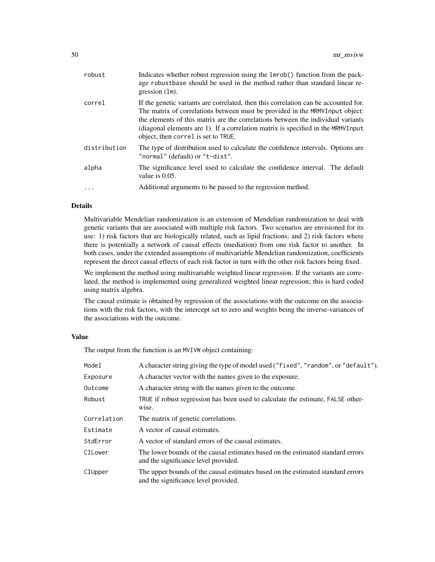| robust       | Indicates whether robust regression using the lmrob() function from the pack-<br>age robustbase should be used in the method rather than standard linear re-<br>gression $(lm)$ .                                                                                                                                                                                                  |
|--------------|------------------------------------------------------------------------------------------------------------------------------------------------------------------------------------------------------------------------------------------------------------------------------------------------------------------------------------------------------------------------------------|
| correl       | If the genetic variants are correlated, then this correlation can be accounted for.<br>The matrix of correlations between must be provided in the MRMVInput object:<br>the elements of this matrix are the correlations between the individual variants<br>(diagonal elements are 1). If a correlation matrix is specified in the MRMVInput<br>object, then correl is set to TRUE. |
| distribution | The type of distribution used to calculate the confidence intervals. Options are<br>"normal" (default) or "t-dist".                                                                                                                                                                                                                                                                |
| alpha        | The significance level used to calculate the confidence interval. The default<br>value is $0.05$ .                                                                                                                                                                                                                                                                                 |
| .            | Additional arguments to be passed to the regression method.                                                                                                                                                                                                                                                                                                                        |
|              |                                                                                                                                                                                                                                                                                                                                                                                    |

# Details

Multivariable Mendelian randomization is an extension of Mendelian randomization to deal with genetic variants that are associated with multiple risk factors. Two scenarios are envisioned for its use: 1) risk factors that are biologically related, such as lipid fractions; and 2) risk factors where there is potentially a network of causal effects (mediation) from one risk factor to another. In both cases, under the extended assumptions of multivariable Mendelian randomization, coefficients represent the direct causal effects of each risk factor in turn with the other risk factors being fixed.

We implement the method using multivariable weighted linear regression. If the variants are correlated, the method is implemented using generalized weighted linear regression; this is hard coded using matrix algebra.

The causal estimate is obtained by regression of the associations with the outcome on the associations with the risk factors, with the intercept set to zero and weights being the inverse-variances of the associations with the outcome.

#### Value

The output from the function is an MVIVW object containing:

| Model       | A character string giving the type of model used ("fixed", "random", or "default").                                     |
|-------------|-------------------------------------------------------------------------------------------------------------------------|
| Exposure    | A character vector with the names given to the exposure.                                                                |
| Outcome     | A character string with the names given to the outcome.                                                                 |
| Robust      | TRUE if robust regression has been used to calculate the estimate, FALSE other-<br>wise.                                |
| Correlation | The matrix of genetic correlations.                                                                                     |
| Estimate    | A vector of causal estimates.                                                                                           |
| StdError    | A vector of standard errors of the causal estimates.                                                                    |
| CILower     | The lower bounds of the causal estimates based on the estimated standard errors<br>and the significance level provided. |
| CIUpper     | The upper bounds of the causal estimates based on the estimated standard errors<br>and the significance level provided. |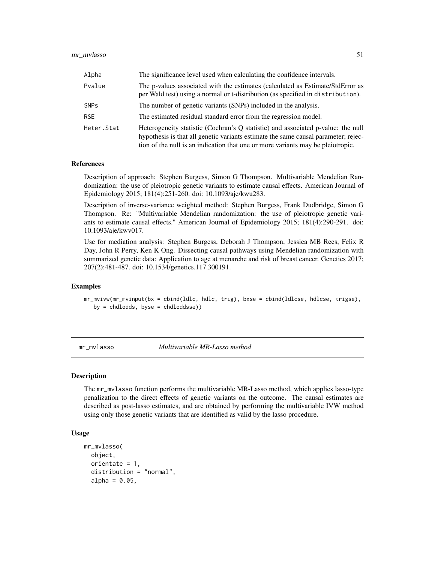<span id="page-50-0"></span>

| Alpha                  | The significance level used when calculating the confidence intervals.                                                                                                                                                                                    |
|------------------------|-----------------------------------------------------------------------------------------------------------------------------------------------------------------------------------------------------------------------------------------------------------|
| Pvalue                 | The p-values associated with the estimates (calculated as Estimate/StdError as<br>per Wald test) using a normal or t-distribution (as specified in distribution).                                                                                         |
| <b>SNP<sub>s</sub></b> | The number of genetic variants (SNPs) included in the analysis.                                                                                                                                                                                           |
| <b>RSE</b>             | The estimated residual standard error from the regression model.                                                                                                                                                                                          |
| Heter.Stat             | Heterogeneity statistic (Cochran's Q statistic) and associated p-value: the null<br>hypothesis is that all genetic variants estimate the same causal parameter; rejec-<br>tion of the null is an indication that one or more variants may be pleiotropic. |

# References

Description of approach: Stephen Burgess, Simon G Thompson. Multivariable Mendelian Randomization: the use of pleiotropic genetic variants to estimate causal effects. American Journal of Epidemiology 2015; 181(4):251-260. doi: 10.1093/aje/kwu283.

Description of inverse-variance weighted method: Stephen Burgess, Frank Dudbridge, Simon G Thompson. Re: "Multivariable Mendelian randomization: the use of pleiotropic genetic variants to estimate causal effects." American Journal of Epidemiology 2015; 181(4):290-291. doi: 10.1093/aje/kwv017.

Use for mediation analysis: Stephen Burgess, Deborah J Thompson, Jessica MB Rees, Felix R Day, John R Perry, Ken K Ong. Dissecting causal pathways using Mendelian randomization with summarized genetic data: Application to age at menarche and risk of breast cancer. Genetics 2017; 207(2):481-487. doi: 10.1534/genetics.117.300191.

#### Examples

mr\_mvivw(mr\_mvinput(bx = cbind(ldlc, hdlc, trig), bxse = cbind(ldlcse, hdlcse, trigse), by = chdlodds, byse = chdloddsse))

mr\_mvlasso *Multivariable MR-Lasso method*

#### Description

The mr\_mvlasso function performs the multivariable MR-Lasso method, which applies lasso-type penalization to the direct effects of genetic variants on the outcome. The causal estimates are described as post-lasso estimates, and are obtained by performing the multivariable IVW method using only those genetic variants that are identified as valid by the lasso procedure.

#### Usage

```
mr_mvlasso(
  object,
  orientate = 1,
  distribution = "normal",
  alpha = 0.05,
```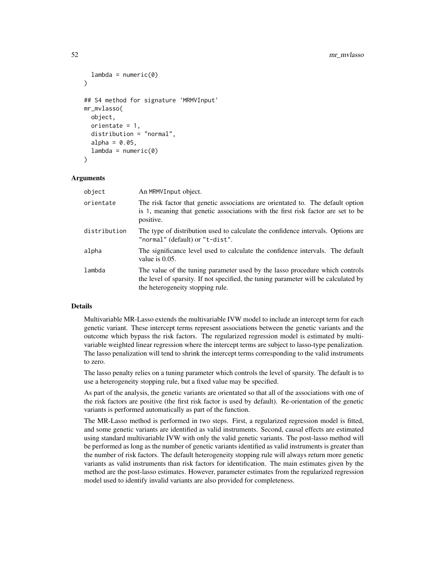```
lambda = numeric(0))
## S4 method for signature 'MRMVInput'
mr_mvlasso(
 object,
 orientate = 1,
  distribution = "normal",
  alpha = 0.05,
 lambda = numeric(0))
```
# Arguments

| object       | An MRMVInput object.                                                                                                                                                                                    |
|--------------|---------------------------------------------------------------------------------------------------------------------------------------------------------------------------------------------------------|
| orientate    | The risk factor that genetic associations are orientated to. The default option<br>is 1, meaning that genetic associations with the first risk factor are set to be<br>positive.                        |
| distribution | The type of distribution used to calculate the confidence intervals. Options are<br>"normal" (default) or "t-dist".                                                                                     |
| alpha        | The significance level used to calculate the confidence intervals. The default<br>value is $0.05$ .                                                                                                     |
| lambda       | The value of the tuning parameter used by the lasso procedure which controls<br>the level of sparsity. If not specified, the tuning parameter will be calculated by<br>the heterogeneity stopping rule. |

# Details

Multivariable MR-Lasso extends the multivariable IVW model to include an intercept term for each genetic variant. These intercept terms represent associations between the genetic variants and the outcome which bypass the risk factors. The regularized regression model is estimated by multivariable weighted linear regression where the intercept terms are subject to lasso-type penalization. The lasso penalization will tend to shrink the intercept terms corresponding to the valid instruments to zero.

The lasso penalty relies on a tuning parameter which controls the level of sparsity. The default is to use a heterogeneity stopping rule, but a fixed value may be specified.

As part of the analysis, the genetic variants are orientated so that all of the associations with one of the risk factors are positive (the first risk factor is used by default). Re-orientation of the genetic variants is performed automatically as part of the function.

The MR-Lasso method is performed in two steps. First, a regularized regression model is fitted, and some genetic variants are identified as valid instruments. Second, causal effects are estimated using standard multivariable IVW with only the valid genetic variants. The post-lasso method will be performed as long as the number of genetic variants identified as valid instruments is greater than the number of risk factors. The default heterogeneity stopping rule will always return more genetic variants as valid instruments than risk factors for identification. The main estimates given by the method are the post-lasso estimates. However, parameter estimates from the regularized regression model used to identify invalid variants are also provided for completeness.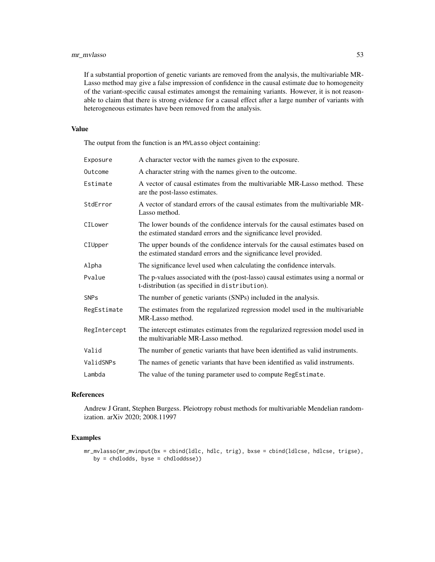# mr\_mvlasso 53

If a substantial proportion of genetic variants are removed from the analysis, the multivariable MR-Lasso method may give a false impression of confidence in the causal estimate due to homogeneity of the variant-specific causal estimates amongst the remaining variants. However, it is not reasonable to claim that there is strong evidence for a causal effect after a large number of variants with heterogeneous estimates have been removed from the analysis.

# Value

The output from the function is an MVLasso object containing:

| Exposure     | A character vector with the names given to the exposure.                                                                                             |
|--------------|------------------------------------------------------------------------------------------------------------------------------------------------------|
| Outcome      | A character string with the names given to the outcome.                                                                                              |
| Estimate     | A vector of causal estimates from the multivariable MR-Lasso method. These<br>are the post-lasso estimates.                                          |
| StdError     | A vector of standard errors of the causal estimates from the multivariable MR-<br>Lasso method.                                                      |
| CILower      | The lower bounds of the confidence intervals for the causal estimates based on<br>the estimated standard errors and the significance level provided. |
| CIUpper      | The upper bounds of the confidence intervals for the causal estimates based on<br>the estimated standard errors and the significance level provided. |
| Alpha        | The significance level used when calculating the confidence intervals.                                                                               |
| Pvalue       | The p-values associated with the (post-lasso) causal estimates using a normal or<br>t-distribution (as specified in distribution).                   |
| <b>SNPs</b>  | The number of genetic variants (SNPs) included in the analysis.                                                                                      |
| RegEstimate  | The estimates from the regularized regression model used in the multivariable<br>MR-Lasso method.                                                    |
| RegIntercept | The intercept estimates estimates from the regularized regression model used in<br>the multivariable MR-Lasso method.                                |
| Valid        | The number of genetic variants that have been identified as valid instruments.                                                                       |
| ValidSNPs    | The names of genetic variants that have been identified as valid instruments.                                                                        |
| Lambda       | The value of the tuning parameter used to compute RegEstimate.                                                                                       |

# References

Andrew J Grant, Stephen Burgess. Pleiotropy robust methods for multivariable Mendelian randomization. arXiv 2020; 2008.11997

# Examples

```
mr_mvlasso(mr_mvinput(bx = cbind(ldlc, hdlc, trig), bxse = cbind(ldlcse, hdlcse, trigse),
   by = chdlodds, byse = chdloddsse))
```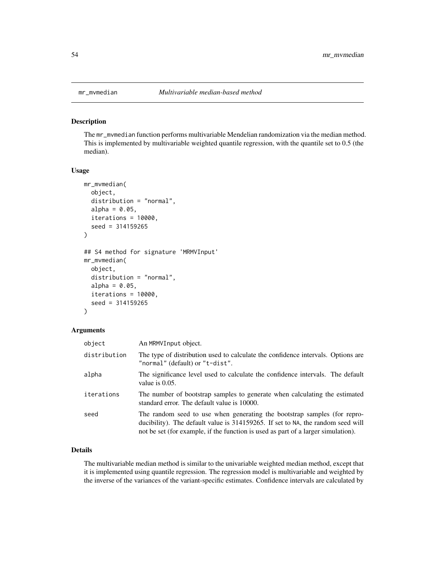<span id="page-53-0"></span>

#### Description

The mr\_mvmedian function performs multivariable Mendelian randomization via the median method. This is implemented by multivariable weighted quantile regression, with the quantile set to 0.5 (the median).

#### Usage

```
mr_mvmedian(
  object,
  distribution = "normal",
  alpha = 0.05,
  iterations = 10000,
  seed = 314159265
)
## S4 method for signature 'MRMVInput'
mr_mvmedian(
  object,
  distribution = "normal",
  alpha = 0.05,
  iterations = 10000,
  seed = 314159265
)
```
# Arguments

| object       | An MRMVInput object.                                                                                                                                                                                                                             |
|--------------|--------------------------------------------------------------------------------------------------------------------------------------------------------------------------------------------------------------------------------------------------|
| distribution | The type of distribution used to calculate the confidence intervals. Options are<br>"normal" (default) or "t-dist".                                                                                                                              |
| alpha        | The significance level used to calculate the confidence intervals. The default<br>value is $0.05$ .                                                                                                                                              |
| iterations   | The number of bootstrap samples to generate when calculating the estimated<br>standard error. The default value is 10000.                                                                                                                        |
| seed         | The random seed to use when generating the bootstrap samples (for repro-<br>ducibility). The default value is 314159265. If set to NA, the random seed will<br>not be set (for example, if the function is used as part of a larger simulation). |

# Details

The multivariable median method is similar to the univariable weighted median method, except that it is implemented using quantile regression. The regression model is multivariable and weighted by the inverse of the variances of the variant-specific estimates. Confidence intervals are calculated by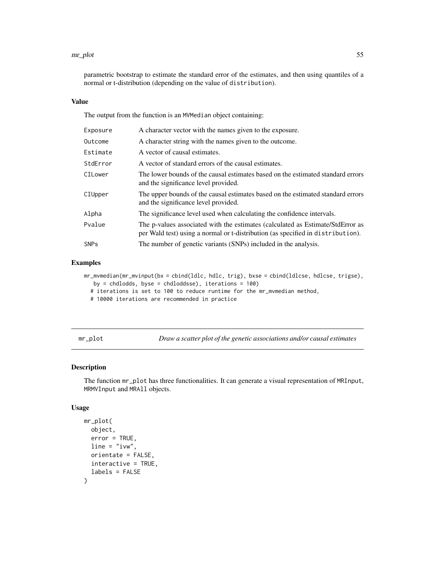#### <span id="page-54-0"></span>mr\_plot 55

parametric bootstrap to estimate the standard error of the estimates, and then using quantiles of a normal or t-distribution (depending on the value of distribution).

# Value

The output from the function is an MVMedian object containing:

| Exposure               | A character vector with the names given to the exposure.                                                                                                          |
|------------------------|-------------------------------------------------------------------------------------------------------------------------------------------------------------------|
| Outcome                | A character string with the names given to the outcome.                                                                                                           |
| Estimate               | A vector of causal estimates.                                                                                                                                     |
| StdError               | A vector of standard errors of the causal estimates.                                                                                                              |
| CILower                | The lower bounds of the causal estimates based on the estimated standard errors<br>and the significance level provided.                                           |
| CIUpper                | The upper bounds of the causal estimates based on the estimated standard errors<br>and the significance level provided.                                           |
| Alpha                  | The significance level used when calculating the confidence intervals.                                                                                            |
| Pvalue                 | The p-values associated with the estimates (calculated as Estimate/StdError as<br>per Wald test) using a normal or t-distribution (as specified in distribution). |
| <b>SNP<sub>S</sub></b> | The number of genetic variants (SNPs) included in the analysis.                                                                                                   |
|                        |                                                                                                                                                                   |

# Examples

mr\_mvmedian(mr\_mvinput(bx = cbind(ldlc, hdlc, trig), bxse = cbind(ldlcse, hdlcse, trigse), by = chdlodds, byse = chdloddsse), iterations = 100) # iterations is set to 100 to reduce runtime for the mr\_mvmedian method, # 10000 iterations are recommended in practice

mr\_plot *Draw a scatter plot of the genetic associations and/or causal estimates*

# Description

The function mr\_plot has three functionalities. It can generate a visual representation of MRInput, MRMVInput and MRAll objects.

#### Usage

```
mr_plot(
  object,
  error = TRUE,
  line = "ivw",orientate = FALSE,
  interactive = TRUE,
  labels = FALSE
)
```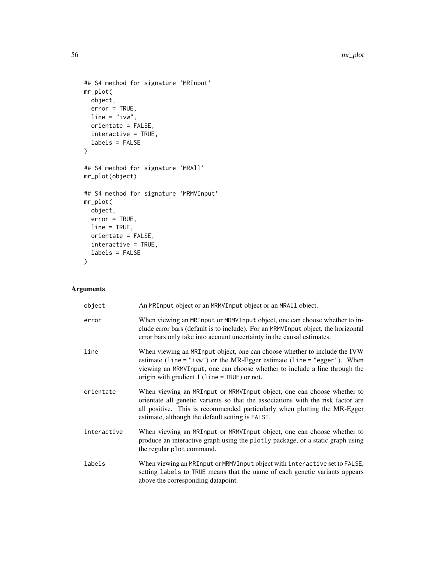```
## S4 method for signature 'MRInput'
mr_plot(
  object,
  error = TRUE,
  line = "ivw",orientate = FALSE,
  interactive = TRUE,
  labels = FALSE
\lambda## S4 method for signature 'MRAll'
mr_plot(object)
## S4 method for signature 'MRMVInput'
mr_plot(
  object,
  error = TRUE,
  line = TRUE,
  orientate = FALSE,
  interactive = TRUE,
  labels = FALSE
\mathcal{L}
```

| object      | An MRInput object or an MRMVInput object or an MRA11 object.                                                                                                                                                                                                                                |
|-------------|---------------------------------------------------------------------------------------------------------------------------------------------------------------------------------------------------------------------------------------------------------------------------------------------|
| error       | When viewing an MRInput or MRMVInput object, one can choose whether to in-<br>clude error bars (default is to include). For an MRMVInput object, the horizontal<br>error bars only take into account uncertainty in the causal estimates.                                                   |
| line        | When viewing an MRInput object, one can choose whether to include the IVW<br>estimate (line = "ivw") or the MR-Egger estimate (line = "egger"). When<br>viewing an MRMVInput, one can choose whether to include a line through the<br>origin with gradient $1$ (line = TRUE) or not.        |
| orientate   | When viewing an MRInput or MRMVInput object, one can choose whether to<br>orientate all genetic variants so that the associations with the risk factor are<br>all positive. This is recommended particularly when plotting the MR-Egger<br>estimate, although the default setting is FALSE. |
| interactive | When viewing an MRInput or MRMVInput object, one can choose whether to<br>produce an interactive graph using the plotly package, or a static graph using<br>the regular plot command.                                                                                                       |
| labels      | When viewing an MRInput or MRMVInput object with interactive set to FALSE,<br>setting labels to TRUE means that the name of each genetic variants appears<br>above the corresponding datapoint.                                                                                             |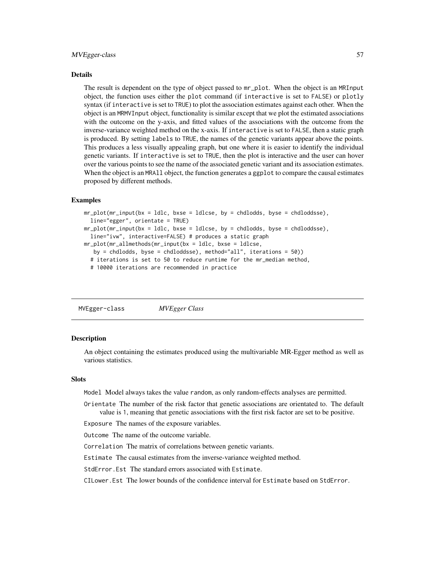#### <span id="page-56-0"></span>MVEgger-class 57

# Details

The result is dependent on the type of object passed to mr\_plot. When the object is an MRInput object, the function uses either the plot command (if interactive is set to FALSE) or plotly syntax (if interactive is set to TRUE) to plot the association estimates against each other. When the object is an MRMVInput object, functionality is similar except that we plot the estimated associations with the outcome on the y-axis, and fitted values of the associations with the outcome from the inverse-variance weighted method on the x-axis. If interactive is set to FALSE, then a static graph is produced. By setting labels to TRUE, the names of the genetic variants appear above the points. This produces a less visually appealing graph, but one where it is easier to identify the individual genetic variants. If interactive is set to TRUE, then the plot is interactive and the user can hover over the various points to see the name of the associated genetic variant and its association estimates. When the object is an MRA11 object, the function generates a ggp1 ot to compare the causal estimates proposed by different methods.

#### Examples

```
mr\_plot(m_r\_input(bx = 1dlc, bxse = 1dlcse, by = chdlodds, byse = chdloddse),
  line="egger", orientate = TRUE)
mr\_plot(m\_input(bx = 1dlc, bxse = 1dlcse, by = chdlodds, byse = chdloddse),
 line="ivw", interactive=FALSE) # produces a static graph
mr_plot(mr_allmethods(mr_input(bx = ldlc, bxse = ldlcse,
  by = chdlodds, byse = chdloddsse), method="all", iterations = 50))
 # iterations is set to 50 to reduce runtime for the mr_median method,
 # 10000 iterations are recommended in practice
```
MVEgger-class *MVEgger Class*

#### **Description**

An object containing the estimates produced using the multivariable MR-Egger method as well as various statistics.

# **Slots**

Model Model always takes the value random, as only random-effects analyses are permitted.

Orientate The number of the risk factor that genetic associations are orientated to. The default value is 1, meaning that genetic associations with the first risk factor are set to be positive.

Exposure The names of the exposure variables.

Outcome The name of the outcome variable.

Correlation The matrix of correlations between genetic variants.

Estimate The causal estimates from the inverse-variance weighted method.

StdError.Est The standard errors associated with Estimate.

CILower.Est The lower bounds of the confidence interval for Estimate based on StdError.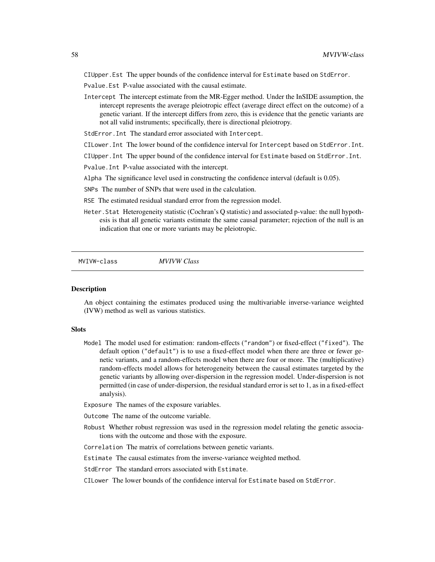<span id="page-57-0"></span>CIUpper.Est The upper bounds of the confidence interval for Estimate based on StdError.

Pvalue.Est P-value associated with the causal estimate.

Intercept The intercept estimate from the MR-Egger method. Under the InSIDE assumption, the intercept represents the average pleiotropic effect (average direct effect on the outcome) of a genetic variant. If the intercept differs from zero, this is evidence that the genetic variants are not all valid instruments; specifically, there is directional pleiotropy.

StdError.Int The standard error associated with Intercept.

CILower.Int The lower bound of the confidence interval for Intercept based on StdError.Int.

CIUpper.Int The upper bound of the confidence interval for Estimate based on StdError.Int.

Pvalue.Int P-value associated with the intercept.

Alpha The significance level used in constructing the confidence interval (default is 0.05).

SNPs The number of SNPs that were used in the calculation.

RSE The estimated residual standard error from the regression model.

Heter.Stat Heterogeneity statistic (Cochran's Q statistic) and associated p-value: the null hypothesis is that all genetic variants estimate the same causal parameter; rejection of the null is an indication that one or more variants may be pleiotropic.

MVIVW-class *MVIVW Class*

# Description

An object containing the estimates produced using the multivariable inverse-variance weighted (IVW) method as well as various statistics.

#### **Slots**

Model The model used for estimation: random-effects ("random") or fixed-effect ("fixed"). The default option ("default") is to use a fixed-effect model when there are three or fewer genetic variants, and a random-effects model when there are four or more. The (multiplicative) random-effects model allows for heterogeneity between the causal estimates targeted by the genetic variants by allowing over-dispersion in the regression model. Under-dispersion is not permitted (in case of under-dispersion, the residual standard error is set to 1, as in a fixed-effect analysis).

Exposure The names of the exposure variables.

Outcome The name of the outcome variable.

- Robust Whether robust regression was used in the regression model relating the genetic associations with the outcome and those with the exposure.
- Correlation The matrix of correlations between genetic variants.

Estimate The causal estimates from the inverse-variance weighted method.

StdError The standard errors associated with Estimate.

CILower The lower bounds of the confidence interval for Estimate based on StdError.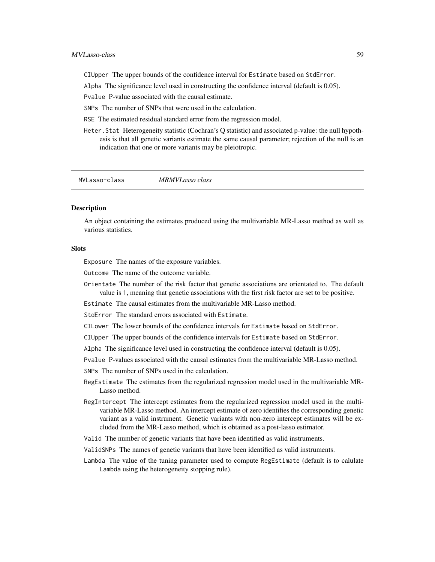<span id="page-58-0"></span>CIUpper The upper bounds of the confidence interval for Estimate based on StdError.

Alpha The significance level used in constructing the confidence interval (default is 0.05).

Pvalue P-value associated with the causal estimate.

SNPs The number of SNPs that were used in the calculation.

RSE The estimated residual standard error from the regression model.

Heter.Stat Heterogeneity statistic (Cochran's Q statistic) and associated p-value: the null hypothesis is that all genetic variants estimate the same causal parameter; rejection of the null is an indication that one or more variants may be pleiotropic.

MVLasso-class *MRMVLasso class*

#### **Description**

An object containing the estimates produced using the multivariable MR-Lasso method as well as various statistics.

## **Slots**

Exposure The names of the exposure variables.

Outcome The name of the outcome variable.

Orientate The number of the risk factor that genetic associations are orientated to. The default value is 1, meaning that genetic associations with the first risk factor are set to be positive.

Estimate The causal estimates from the multivariable MR-Lasso method.

StdError The standard errors associated with Estimate.

CILower The lower bounds of the confidence intervals for Estimate based on StdError.

CIUpper The upper bounds of the confidence intervals for Estimate based on StdError.

Alpha The significance level used in constructing the confidence interval (default is 0.05).

Pvalue P-values associated with the causal estimates from the multivariable MR-Lasso method.

SNPs The number of SNPs used in the calculation.

- RegEstimate The estimates from the regularized regression model used in the multivariable MR-Lasso method.
- RegIntercept The intercept estimates from the regularized regression model used in the multivariable MR-Lasso method. An intercept estimate of zero identifies the corresponding genetic variant as a valid instrument. Genetic variants with non-zero intercept estimates will be excluded from the MR-Lasso method, which is obtained as a post-lasso estimator.
- Valid The number of genetic variants that have been identified as valid instruments.
- ValidSNPs The names of genetic variants that have been identified as valid instruments.
- Lambda The value of the tuning parameter used to compute RegEstimate (default is to calulate Lambda using the heterogeneity stopping rule).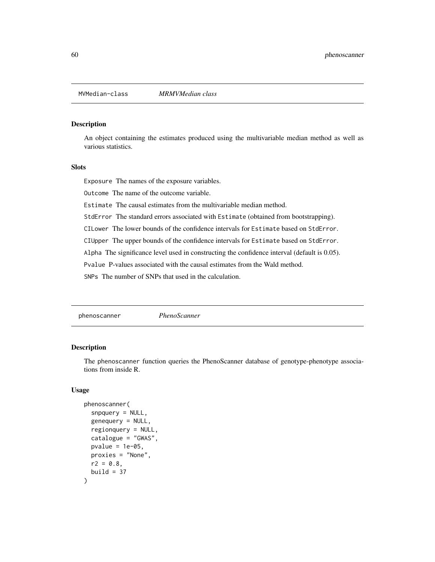<span id="page-59-0"></span>MVMedian-class *MRMVMedian class*

# Description

An object containing the estimates produced using the multivariable median method as well as various statistics.

#### **Slots**

Exposure The names of the exposure variables.

Outcome The name of the outcome variable.

Estimate The causal estimates from the multivariable median method.

StdError The standard errors associated with Estimate (obtained from bootstrapping).

CILower The lower bounds of the confidence intervals for Estimate based on StdError.

CIUpper The upper bounds of the confidence intervals for Estimate based on StdError.

Alpha The significance level used in constructing the confidence interval (default is 0.05).

Pvalue P-values associated with the causal estimates from the Wald method.

SNPs The number of SNPs that used in the calculation.

phenoscanner *PhenoScanner*

# Description

The phenoscanner function queries the PhenoScanner database of genotype-phenotype associations from inside R.

# Usage

```
phenoscanner(
  snpquery = NULL,genequery = NULL,
 regionquery = NULL,
  catalogue = "GWAS",
 pvalue = 1e-05,
 proxies = "None",
 r2 = 0.8,
 build = 37)
```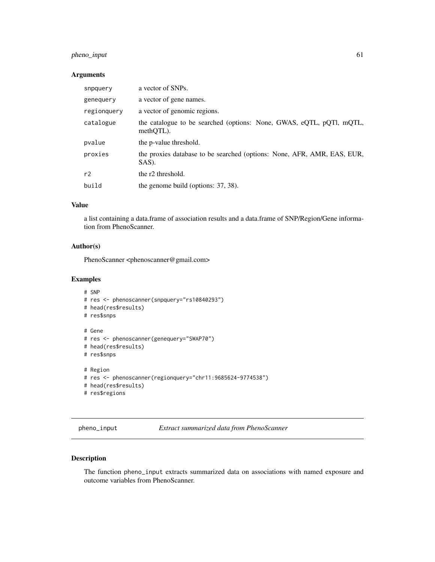# <span id="page-60-0"></span>pheno\_input 61

# Arguments

| snpquery    | a vector of SNPs.                                                                 |
|-------------|-----------------------------------------------------------------------------------|
| genequery   | a vector of gene names.                                                           |
| regionquery | a vector of genomic regions.                                                      |
| catalogue   | the catalogue to be searched (options: None, GWAS, eQTL, pQTl, mQTL,<br>methQTL). |
| pvalue      | the p-value threshold.                                                            |
| proxies     | the proxies database to be searched (options: None, AFR, AMR, EAS, EUR,<br>SAS).  |
| r2          | the r2 threshold.                                                                 |
| build       | the genome build (options: $37, 38$ ).                                            |

# Value

a list containing a data.frame of association results and a data.frame of SNP/Region/Gene information from PhenoScanner.

# Author(s)

PhenoScanner <phenoscanner@gmail.com>

# Examples

```
# SNP
# res <- phenoscanner(snpquery="rs10840293")
# head(res$results)
# res$snps
# Gene
# res <- phenoscanner(genequery="SWAP70")
# head(res$results)
# res$snps
# Region
# res <- phenoscanner(regionquery="chr11:9685624-9774538")
# head(res$results)
```

```
# res$regions
```
pheno\_input *Extract summarized data from PhenoScanner*

# Description

The function pheno\_input extracts summarized data on associations with named exposure and outcome variables from PhenoScanner.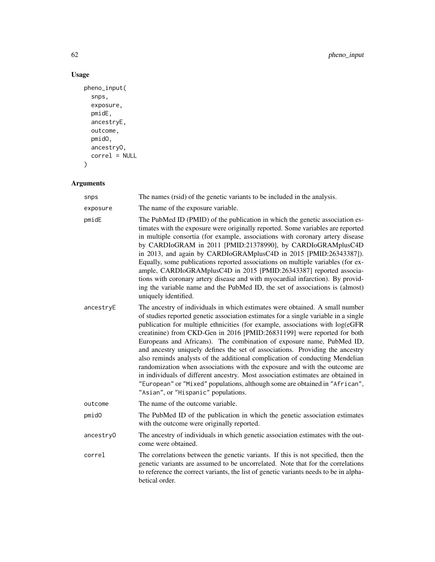# Usage

```
pheno_input(
  snps,
  exposure,
  pmidE,
  ancestryE,
  outcome,
  pmidO,
  ancestryO,
  correl = NULL
\mathcal{L}
```

| snps              | The names (rsid) of the genetic variants to be included in the analysis.                                                                                                                                                                                                                                                                                                                                                                                                                                                                                                                                                                                                                                                                                                                                                                                          |
|-------------------|-------------------------------------------------------------------------------------------------------------------------------------------------------------------------------------------------------------------------------------------------------------------------------------------------------------------------------------------------------------------------------------------------------------------------------------------------------------------------------------------------------------------------------------------------------------------------------------------------------------------------------------------------------------------------------------------------------------------------------------------------------------------------------------------------------------------------------------------------------------------|
| exposure          | The name of the exposure variable.                                                                                                                                                                                                                                                                                                                                                                                                                                                                                                                                                                                                                                                                                                                                                                                                                                |
| pmidE             | The PubMed ID (PMID) of the publication in which the genetic association es-<br>timates with the exposure were originally reported. Some variables are reported<br>in multiple consortia (for example, associations with coronary artery disease<br>by CARDIoGRAM in 2011 [PMID:21378990], by CARDIoGRAMplusC4D<br>in 2013, and again by CARDIoGRAMplusC4D in 2015 [PMID:26343387]).<br>Equally, some publications reported associations on multiple variables (for ex-<br>ample, CARDIoGRAMplusC4D in 2015 [PMID:26343387] reported associa-<br>tions with coronary artery disease and with myocardial infarction). By provid-<br>ing the variable name and the PubMed ID, the set of associations is (almost)<br>uniquely identified.                                                                                                                           |
| ancestryE         | The ancestry of individuals in which estimates were obtained. A small number<br>of studies reported genetic association estimates for a single variable in a single<br>publication for multiple ethnicities (for example, associations with log(eGFR<br>creatinine) from CKD-Gen in 2016 [PMID:26831199] were reported for both<br>Europeans and Africans). The combination of exposure name, PubMed ID,<br>and ancestry uniquely defines the set of associations. Providing the ancestry<br>also reminds analysts of the additional complication of conducting Mendelian<br>randomization when associations with the exposure and with the outcome are<br>in individuals of different ancestry. Most association estimates are obtained in<br>"European" or "Mixed" populations, although some are obtained in "African",<br>"Asian", or "Hispanic" populations. |
| outcome           | The name of the outcome variable.                                                                                                                                                                                                                                                                                                                                                                                                                                                                                                                                                                                                                                                                                                                                                                                                                                 |
| pmid <sub>0</sub> | The PubMed ID of the publication in which the genetic association estimates<br>with the outcome were originally reported.                                                                                                                                                                                                                                                                                                                                                                                                                                                                                                                                                                                                                                                                                                                                         |
| ancestry0         | The ancestry of individuals in which genetic association estimates with the out-<br>come were obtained.                                                                                                                                                                                                                                                                                                                                                                                                                                                                                                                                                                                                                                                                                                                                                           |
| correl            | The correlations between the genetic variants. If this is not specified, then the<br>genetic variants are assumed to be uncorrelated. Note that for the correlations<br>to reference the correct variants, the list of genetic variants needs to be in alpha-<br>betical order.                                                                                                                                                                                                                                                                                                                                                                                                                                                                                                                                                                                   |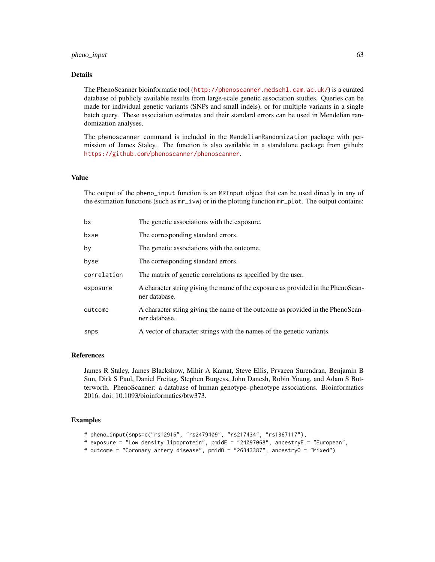# pheno\_input 63

#### Details

The PhenoScanner bioinformatic tool (<http://phenoscanner.medschl.cam.ac.uk/>) is a curated database of publicly available results from large-scale genetic association studies. Queries can be made for individual genetic variants (SNPs and small indels), or for multiple variants in a single batch query. These association estimates and their standard errors can be used in Mendelian randomization analyses.

The phenoscanner command is included in the MendelianRandomization package with permission of James Staley. The function is also available in a standalone package from github: <https://github.com/phenoscanner/phenoscanner>.

#### Value

The output of the pheno\_input function is an MRInput object that can be used directly in any of the estimation functions (such as mr\_ivw) or in the plotting function mr\_plot. The output contains:

| bx          | The genetic associations with the exposure.                                                       |
|-------------|---------------------------------------------------------------------------------------------------|
| bxse        | The corresponding standard errors.                                                                |
| by          | The genetic associations with the outcome.                                                        |
| byse        | The corresponding standard errors.                                                                |
| correlation | The matrix of genetic correlations as specified by the user.                                      |
| exposure    | A character string giving the name of the exposure as provided in the PhenoScan-<br>ner database. |
| outcome     | A character string giving the name of the outcome as provided in the PhenoScan-<br>ner database.  |
| snps        | A vector of character strings with the names of the genetic variants.                             |

#### References

James R Staley, James Blackshow, Mihir A Kamat, Steve Ellis, Prvaeen Surendran, Benjamin B Sun, Dirk S Paul, Daniel Freitag, Stephen Burgess, John Danesh, Robin Young, and Adam S Butterworth. PhenoScanner: a database of human genotype–phenotype associations. Bioinformatics 2016. doi: 10.1093/bioinformatics/btw373.

# Examples

```
# pheno_input(snps=c("rs12916", "rs2479409", "rs217434", "rs1367117"),
# exposure = "Low density lipoprotein", pmidE = "24097068", ancestryE = "European",
# outcome = "Coronary artery disease", pmidO = "26343387", ancestryO = "Mixed")
```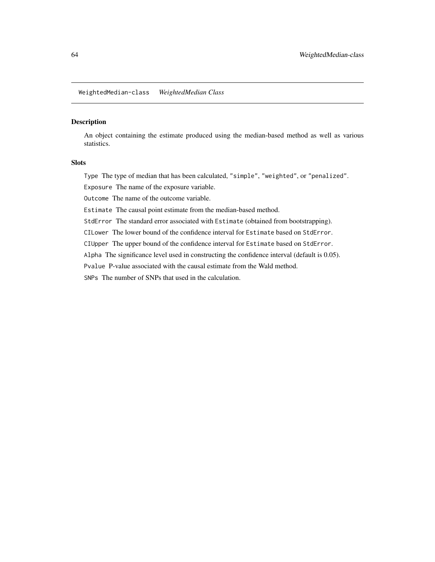# <span id="page-63-0"></span>Description

An object containing the estimate produced using the median-based method as well as various statistics.

# Slots

Type The type of median that has been calculated, "simple", "weighted", or "penalized".

Exposure The name of the exposure variable.

Outcome The name of the outcome variable.

Estimate The causal point estimate from the median-based method.

StdError The standard error associated with Estimate (obtained from bootstrapping).

CILower The lower bound of the confidence interval for Estimate based on StdError.

CIUpper The upper bound of the confidence interval for Estimate based on StdError.

Alpha The significance level used in constructing the confidence interval (default is 0.05).

Pvalue P-value associated with the causal estimate from the Wald method.

SNPs The number of SNPs that used in the calculation.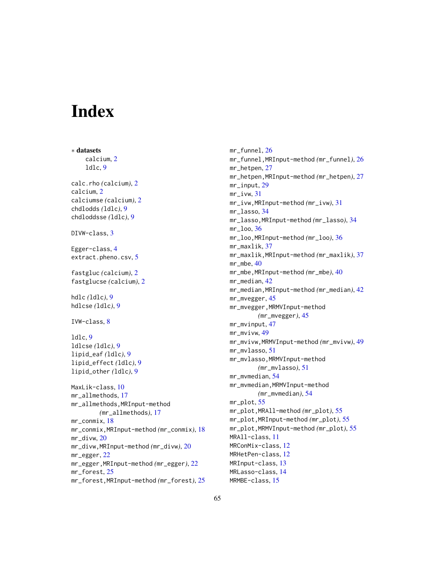# <span id="page-64-0"></span>**Index**

∗ datasets calcium, [2](#page-1-0) ldlc, [9](#page-8-0) calc.rho *(*calcium*)*, [2](#page-1-0) calcium, [2](#page-1-0) calciumse *(*calcium*)*, [2](#page-1-0) chdlodds *(*ldlc*)*, [9](#page-8-0) chdloddsse *(*ldlc*)*, [9](#page-8-0) DIVW-class, [3](#page-2-0) Egger-class, [4](#page-3-0) extract.pheno.csv, [5](#page-4-0) fastgluc *(*calcium*)*, [2](#page-1-0) fastglucse *(*calcium*)*, [2](#page-1-0) hdlc *(*ldlc*)*, [9](#page-8-0) hdlcse *(*ldlc*)*, [9](#page-8-0) IVW-class, [8](#page-7-0) ldlc, [9](#page-8-0) ldlcse *(*ldlc*)*, [9](#page-8-0) lipid\_eaf *(*ldlc*)*, [9](#page-8-0) lipid\_effect *(*ldlc*)*, [9](#page-8-0) lipid\_other *(*ldlc*)*, [9](#page-8-0) MaxLik-class, [10](#page-9-0) mr\_allmethods, [17](#page-16-0) mr\_allmethods,MRInput-method *(*mr\_allmethods*)*, [17](#page-16-0) mr\_conmix, [18](#page-17-0) mr\_conmix,MRInput-method *(*mr\_conmix*)*, [18](#page-17-0) mr\_divw, [20](#page-19-0) mr\_divw,MRInput-method *(*mr\_divw*)*, [20](#page-19-0) mr\_egger, [22](#page-21-0) mr\_egger,MRInput-method *(*mr\_egger*)*, [22](#page-21-0) mr\_forest, [25](#page-24-0) mr\_forest,MRInput-method *(*mr\_forest*)*, [25](#page-24-0) mr\_funnel, [26](#page-25-0) mr\_funnel,MRInput-method *(*mr\_funnel*)*, [26](#page-25-0) mr\_hetpen, [27](#page-26-0) mr\_hetpen,MRInput-method *(*mr\_hetpen*)*, [27](#page-26-0) mr\_input, [29](#page-28-0) mr\_ivw, [31](#page-30-0) mr\_ivw,MRInput-method *(*mr\_ivw*)*, [31](#page-30-0) mr\_lasso, [34](#page-33-0) mr\_lasso,MRInput-method *(*mr\_lasso*)*, [34](#page-33-0)  $mr\_loo, 36$  $mr\_loo, 36$ mr\_loo,MRInput-method *(*mr\_loo*)*, [36](#page-35-0) mr\_maxlik, [37](#page-36-0) mr\_maxlik,MRInput-method *(*mr\_maxlik*)*, [37](#page-36-0) mr\_mbe, [40](#page-39-0) mr\_mbe,MRInput-method *(*mr\_mbe*)*, [40](#page-39-0) mr\_median, [42](#page-41-0) mr\_median,MRInput-method *(*mr\_median*)*, [42](#page-41-0) mr\_mvegger, [45](#page-44-0) mr\_mvegger,MRMVInput-method *(*mr\_mvegger*)*, [45](#page-44-0) mr\_mvinput, [47](#page-46-0) mr\_mvivw, [49](#page-48-0) mr\_mvivw,MRMVInput-method *(*mr\_mvivw*)*, [49](#page-48-0) mr\_mvlasso, [51](#page-50-0) mr\_mvlasso,MRMVInput-method *(*mr\_mvlasso*)*, [51](#page-50-0) mr\_mvmedian, [54](#page-53-0) mr\_mvmedian,MRMVInput-method *(*mr\_mvmedian*)*, [54](#page-53-0) mr\_plot, [55](#page-54-0) mr\_plot,MRAll-method *(*mr\_plot*)*, [55](#page-54-0) mr\_plot,MRInput-method *(*mr\_plot*)*, [55](#page-54-0) mr\_plot,MRMVInput-method *(*mr\_plot*)*, [55](#page-54-0) MRAll-class, [11](#page-10-0) MRConMix-class, [12](#page-11-0) MRHetPen-class, [12](#page-11-0) MRInput-class, [13](#page-12-0) MRLasso-class, [14](#page-13-0) MRMBE-class, [15](#page-14-0)